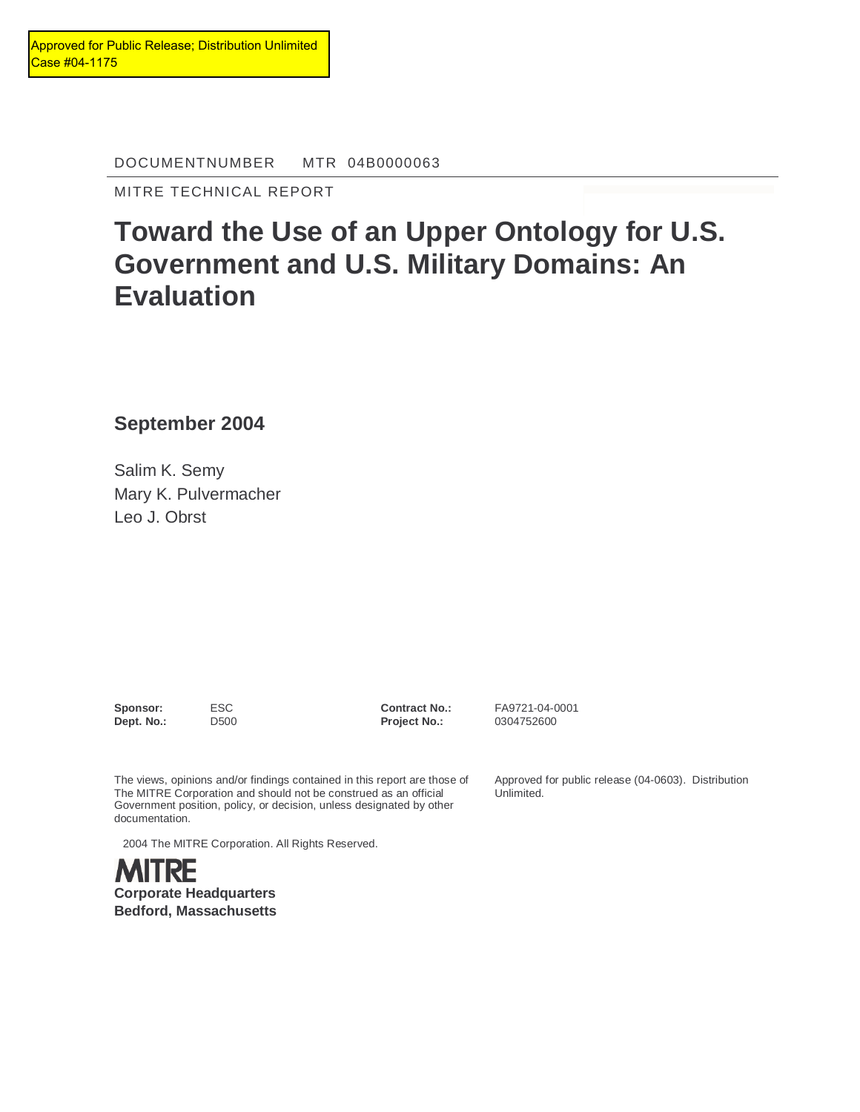DOCUMENTNUMBER MTR 04B0000063

MITRE TECHNICAL REPORT

# **Toward the Use of an Upper Ontology for U.S. Government and U.S. Military Domains: An Evaluation**

# **September 2004**

Salim K. Semy Mary K. Pulvermacher Leo J. Obrst

**Sponsor:** ESC **Contract No.:** FA9721-04-0001 **Dept. No.:** D500 **Project No.:** 0304752600

The views, opinions and/or findings contained in this report are those of The MITRE Corporation and should not be construed as an official Government position, policy, or decision, unless designated by other documentation.

2004 The MITRE Corporation. All Rights Reserved.

KF N **Corporate Headquarters Bedford, Massachusetts**  Approved for public release (04-0603). Distribution Unlimited.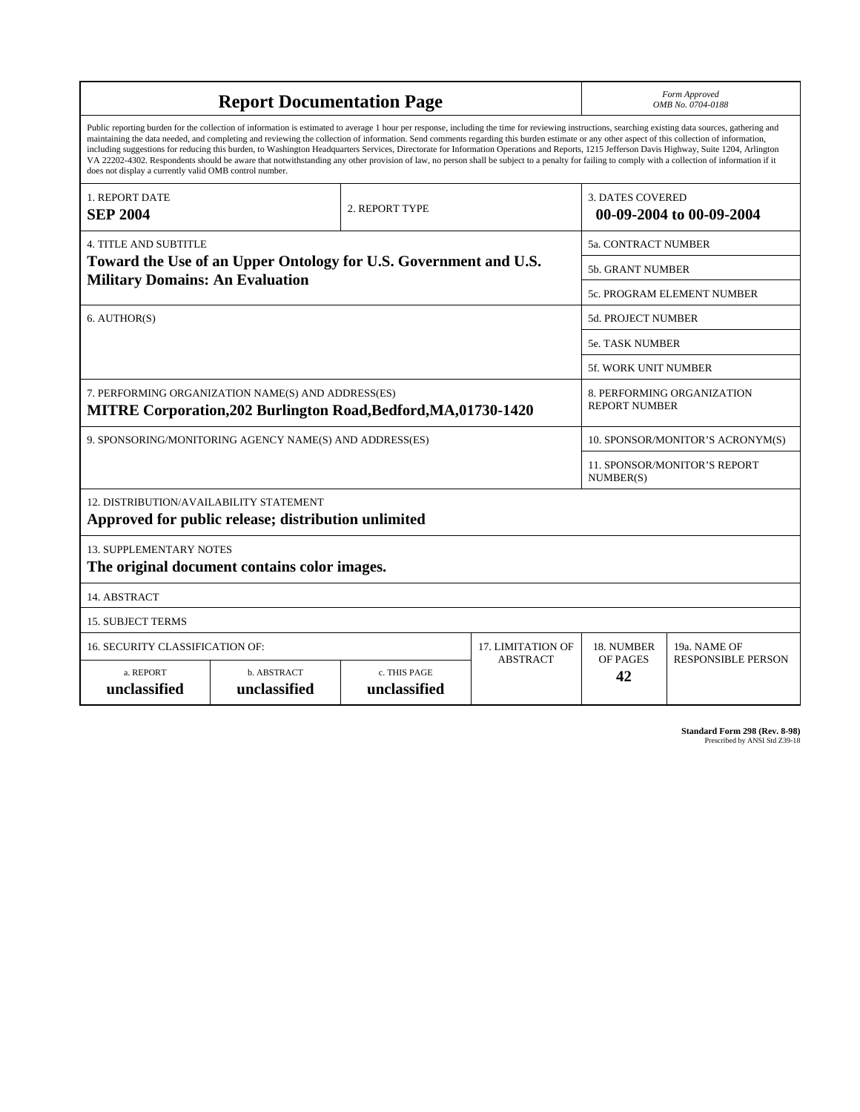| <b>Report Documentation Page</b>                                                                                                                                                                                                                                                                                                                                                                                                                                                                                                                                                                                                                                                                                                                                                                                                                                   |  |                                                                  |                                                     | Form Approved<br>OMB No. 0704-0188               |                                  |
|--------------------------------------------------------------------------------------------------------------------------------------------------------------------------------------------------------------------------------------------------------------------------------------------------------------------------------------------------------------------------------------------------------------------------------------------------------------------------------------------------------------------------------------------------------------------------------------------------------------------------------------------------------------------------------------------------------------------------------------------------------------------------------------------------------------------------------------------------------------------|--|------------------------------------------------------------------|-----------------------------------------------------|--------------------------------------------------|----------------------------------|
| Public reporting burden for the collection of information is estimated to average 1 hour per response, including the time for reviewing instructions, searching existing data sources, gathering and<br>maintaining the data needed, and completing and reviewing the collection of information. Send comments regarding this burden estimate or any other aspect of this collection of information,<br>including suggestions for reducing this burden, to Washington Headquarters Services, Directorate for Information Operations and Reports, 1215 Jefferson Davis Highway, Suite 1204, Arlington<br>VA 22202-4302. Respondents should be aware that notwithstanding any other provision of law, no person shall be subject to a penalty for failing to comply with a collection of information if it<br>does not display a currently valid OMB control number. |  |                                                                  |                                                     |                                                  |                                  |
| <b>1. REPORT DATE</b><br>2. REPORT TYPE<br><b>SEP 2004</b>                                                                                                                                                                                                                                                                                                                                                                                                                                                                                                                                                                                                                                                                                                                                                                                                         |  |                                                                  | <b>3. DATES COVERED</b><br>00-09-2004 to 00-09-2004 |                                                  |                                  |
| <b>4. TITLE AND SUBTITLE</b>                                                                                                                                                                                                                                                                                                                                                                                                                                                                                                                                                                                                                                                                                                                                                                                                                                       |  |                                                                  |                                                     | <b>5a. CONTRACT NUMBER</b>                       |                                  |
|                                                                                                                                                                                                                                                                                                                                                                                                                                                                                                                                                                                                                                                                                                                                                                                                                                                                    |  | Toward the Use of an Upper Ontology for U.S. Government and U.S. |                                                     | 5b. GRANT NUMBER                                 |                                  |
| <b>Military Domains: An Evaluation</b>                                                                                                                                                                                                                                                                                                                                                                                                                                                                                                                                                                                                                                                                                                                                                                                                                             |  |                                                                  |                                                     | 5c. PROGRAM ELEMENT NUMBER                       |                                  |
| 6. AUTHOR(S)                                                                                                                                                                                                                                                                                                                                                                                                                                                                                                                                                                                                                                                                                                                                                                                                                                                       |  |                                                                  |                                                     | <b>5d. PROJECT NUMBER</b>                        |                                  |
|                                                                                                                                                                                                                                                                                                                                                                                                                                                                                                                                                                                                                                                                                                                                                                                                                                                                    |  |                                                                  |                                                     | <b>5e. TASK NUMBER</b>                           |                                  |
|                                                                                                                                                                                                                                                                                                                                                                                                                                                                                                                                                                                                                                                                                                                                                                                                                                                                    |  |                                                                  |                                                     | <b>5f. WORK UNIT NUMBER</b>                      |                                  |
| 7. PERFORMING ORGANIZATION NAME(S) AND ADDRESS(ES)<br>8. PERFORMING ORGANIZATION<br><b>REPORT NUMBER</b><br>MITRE Corporation, 202 Burlington Road, Bedford, MA, 01730-1420                                                                                                                                                                                                                                                                                                                                                                                                                                                                                                                                                                                                                                                                                        |  |                                                                  |                                                     |                                                  |                                  |
| 9. SPONSORING/MONITORING AGENCY NAME(S) AND ADDRESS(ES)                                                                                                                                                                                                                                                                                                                                                                                                                                                                                                                                                                                                                                                                                                                                                                                                            |  |                                                                  |                                                     |                                                  | 10. SPONSOR/MONITOR'S ACRONYM(S) |
|                                                                                                                                                                                                                                                                                                                                                                                                                                                                                                                                                                                                                                                                                                                                                                                                                                                                    |  |                                                                  |                                                     | <b>11. SPONSOR/MONITOR'S REPORT</b><br>NUMBER(S) |                                  |
| 12. DISTRIBUTION/AVAILABILITY STATEMENT<br>Approved for public release; distribution unlimited                                                                                                                                                                                                                                                                                                                                                                                                                                                                                                                                                                                                                                                                                                                                                                     |  |                                                                  |                                                     |                                                  |                                  |
| <b>13. SUPPLEMENTARY NOTES</b><br>The original document contains color images.                                                                                                                                                                                                                                                                                                                                                                                                                                                                                                                                                                                                                                                                                                                                                                                     |  |                                                                  |                                                     |                                                  |                                  |
| 14. ABSTRACT                                                                                                                                                                                                                                                                                                                                                                                                                                                                                                                                                                                                                                                                                                                                                                                                                                                       |  |                                                                  |                                                     |                                                  |                                  |
| <b>15. SUBJECT TERMS</b>                                                                                                                                                                                                                                                                                                                                                                                                                                                                                                                                                                                                                                                                                                                                                                                                                                           |  |                                                                  |                                                     |                                                  |                                  |
| 16. SECURITY CLASSIFICATION OF:<br>17. LIMITATION OF<br>18. NUMBER<br>19a. NAME OF                                                                                                                                                                                                                                                                                                                                                                                                                                                                                                                                                                                                                                                                                                                                                                                 |  |                                                                  |                                                     |                                                  |                                  |
| <b>ABSTRACT</b><br>a. REPORT<br>b. ABSTRACT<br>c. THIS PAGE<br>unclassified<br>unclassified<br>unclassified                                                                                                                                                                                                                                                                                                                                                                                                                                                                                                                                                                                                                                                                                                                                                        |  |                                                                  | OF PAGES<br>42                                      | <b>RESPONSIBLE PERSON</b>                        |                                  |

**Standard Form 298 (Rev. 8-98)**<br>Prescribed by ANSI Std Z39-18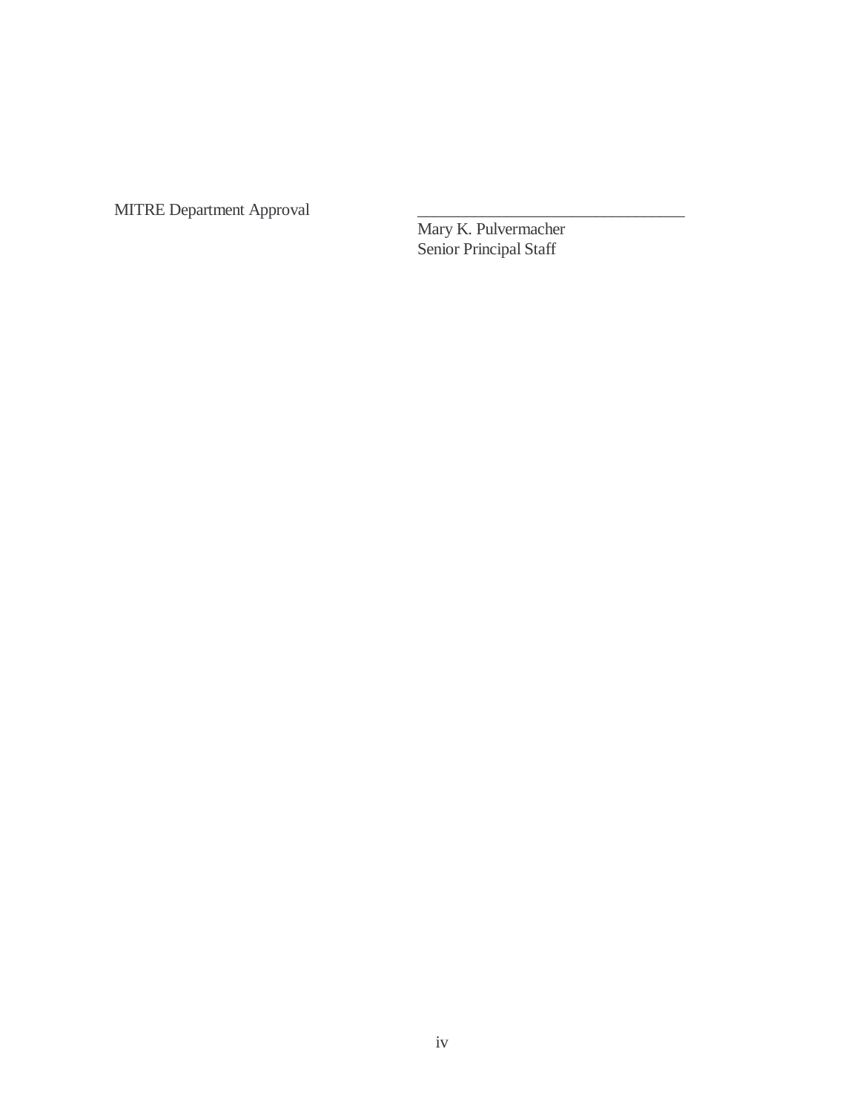MITRE Department Approval

Mary K. Pulvermacher Senior Principal Staff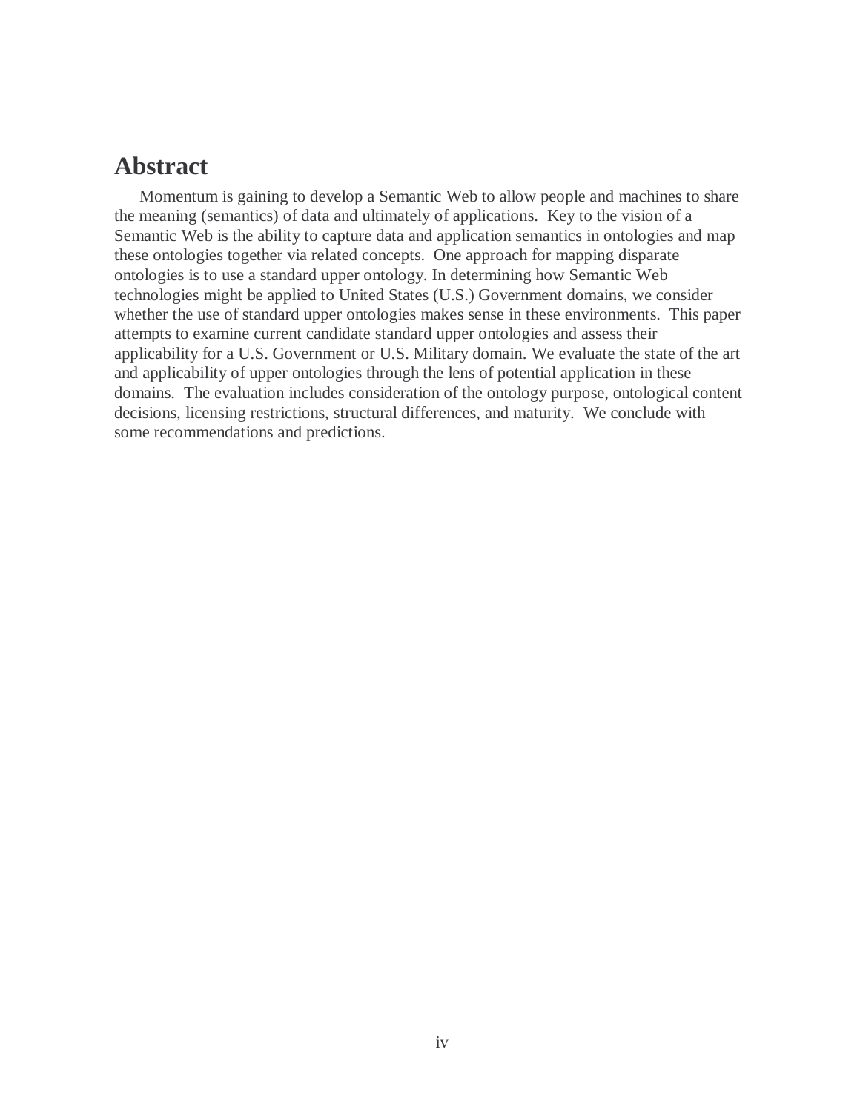# **Abstract**

Momentum is gaining to develop a Semantic Web to allow people and machines to share the meaning (semantics) of data and ultimately of applications. Key to the vision of a Semantic Web is the ability to capture data and application semantics in ontologies and map these ontologies together via related concepts. One approach for mapping disparate ontologies is to use a standard upper ontology. In determining how Semantic Web technologies might be applied to United States (U.S.) Government domains, we consider whether the use of standard upper ontologies makes sense in these environments. This paper attempts to examine current candidate standard upper ontologies and assess their applicability for a U.S. Government or U.S. Military domain. We evaluate the state of the art and applicability of upper ontologies through the lens of potential application in these domains. The evaluation includes consideration of the ontology purpose, ontological content decisions, licensing restrictions, structural differences, and maturity. We conclude with some recommendations and predictions.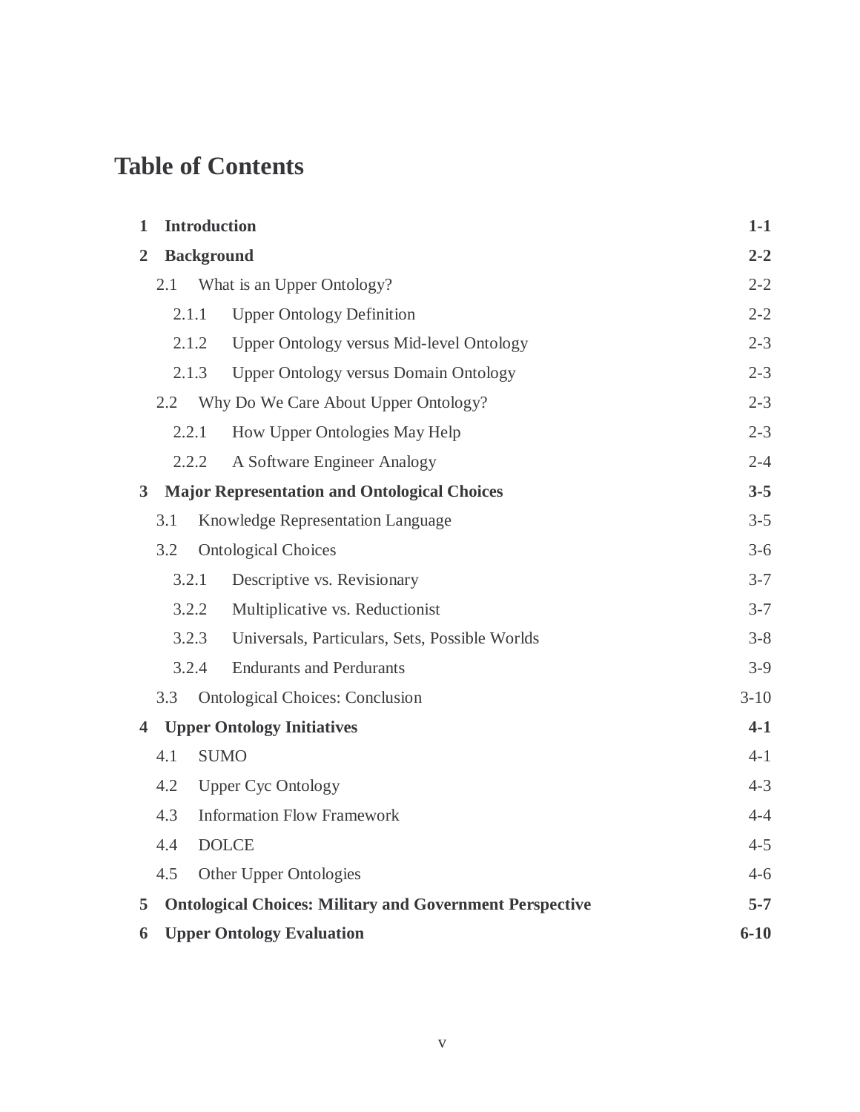# **Table of Contents**

| <b>Introduction</b><br>1            |                                                                 |          |
|-------------------------------------|-----------------------------------------------------------------|----------|
| <b>Background</b><br>$\overline{2}$ |                                                                 | $2 - 2$  |
| 2.1                                 | What is an Upper Ontology?                                      | $2 - 2$  |
| 2.1.1                               | <b>Upper Ontology Definition</b>                                | $2 - 2$  |
| 2.1.2                               | Upper Ontology versus Mid-level Ontology                        | $2 - 3$  |
| 2.1.3                               | <b>Upper Ontology versus Domain Ontology</b>                    | $2 - 3$  |
| 2.2                                 | Why Do We Care About Upper Ontology?                            | $2 - 3$  |
| 2.2.1                               | How Upper Ontologies May Help                                   | $2 - 3$  |
| 2.2.2                               | A Software Engineer Analogy                                     | $2 - 4$  |
| 3 <sup>1</sup>                      | <b>Major Representation and Ontological Choices</b>             | $3 - 5$  |
| 3.1                                 | Knowledge Representation Language                               | $3 - 5$  |
| 3.2                                 | <b>Ontological Choices</b>                                      | $3 - 6$  |
| 3.2.1                               | Descriptive vs. Revisionary                                     | $3 - 7$  |
| 3.2.2                               | Multiplicative vs. Reductionist                                 | $3 - 7$  |
| 3.2.3                               | Universals, Particulars, Sets, Possible Worlds                  | $3 - 8$  |
| 3.2.4                               | <b>Endurants and Perdurants</b>                                 | $3-9$    |
| 3.3                                 | <b>Ontological Choices: Conclusion</b>                          | $3-10$   |
| $\blacktriangleleft$                | <b>Upper Ontology Initiatives</b>                               | $4 - 1$  |
| 4.1                                 | <b>SUMO</b>                                                     | $4 - 1$  |
| 4.2                                 | <b>Upper Cyc Ontology</b>                                       | $4 - 3$  |
| 4.3                                 | <b>Information Flow Framework</b>                               | $4 - 4$  |
| 4.4                                 | <b>DOLCE</b>                                                    | $4 - 5$  |
| 4.5                                 | Other Upper Ontologies                                          | $4 - 6$  |
| 5                                   | <b>Ontological Choices: Military and Government Perspective</b> | $5 - 7$  |
| 6                                   | <b>Upper Ontology Evaluation</b>                                | $6 - 10$ |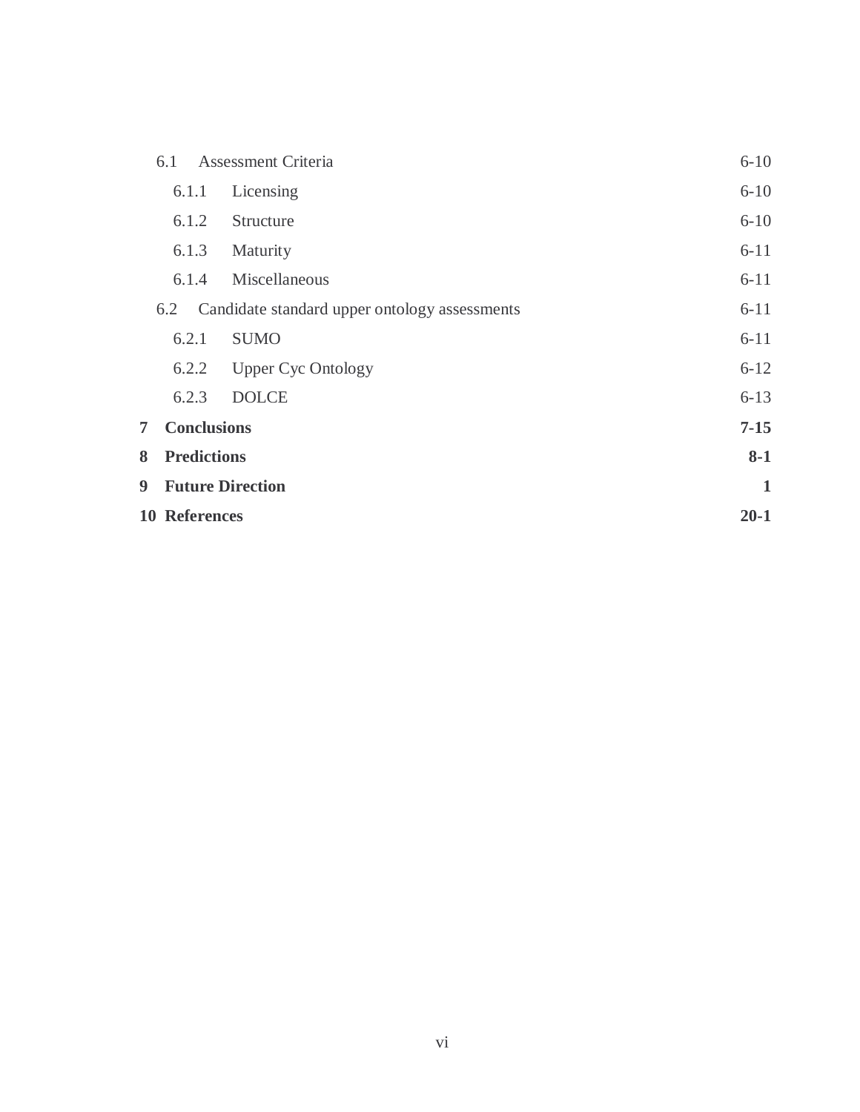|   | 6.1                                     | <b>Assessment Criteria</b>                    | $6 - 10$ |  |  |
|---|-----------------------------------------|-----------------------------------------------|----------|--|--|
|   | 6.1.1                                   | Licensing                                     | $6 - 10$ |  |  |
|   | 6.1.2                                   | Structure                                     | $6 - 10$ |  |  |
|   | 6.1.3                                   | Maturity                                      | $6 - 11$ |  |  |
|   | 6.1.4                                   | Miscellaneous                                 | $6 - 11$ |  |  |
|   | 6.2                                     | Candidate standard upper ontology assessments | $6 - 11$ |  |  |
|   | 6.2.1                                   | <b>SUMO</b>                                   | $6 - 11$ |  |  |
|   | 6.2.2                                   | <b>Upper Cyc Ontology</b>                     | $6 - 12$ |  |  |
|   | 6.2.3                                   | <b>DOLCE</b>                                  | $6 - 13$ |  |  |
| 7 | <b>Conclusions</b>                      |                                               | $7 - 15$ |  |  |
| 8 | <b>Predictions</b>                      |                                               | $8-1$    |  |  |
| 9 | <b>Future Direction</b><br>$\mathbf{1}$ |                                               |          |  |  |
|   | $20 - 1$<br><b>10 References</b>        |                                               |          |  |  |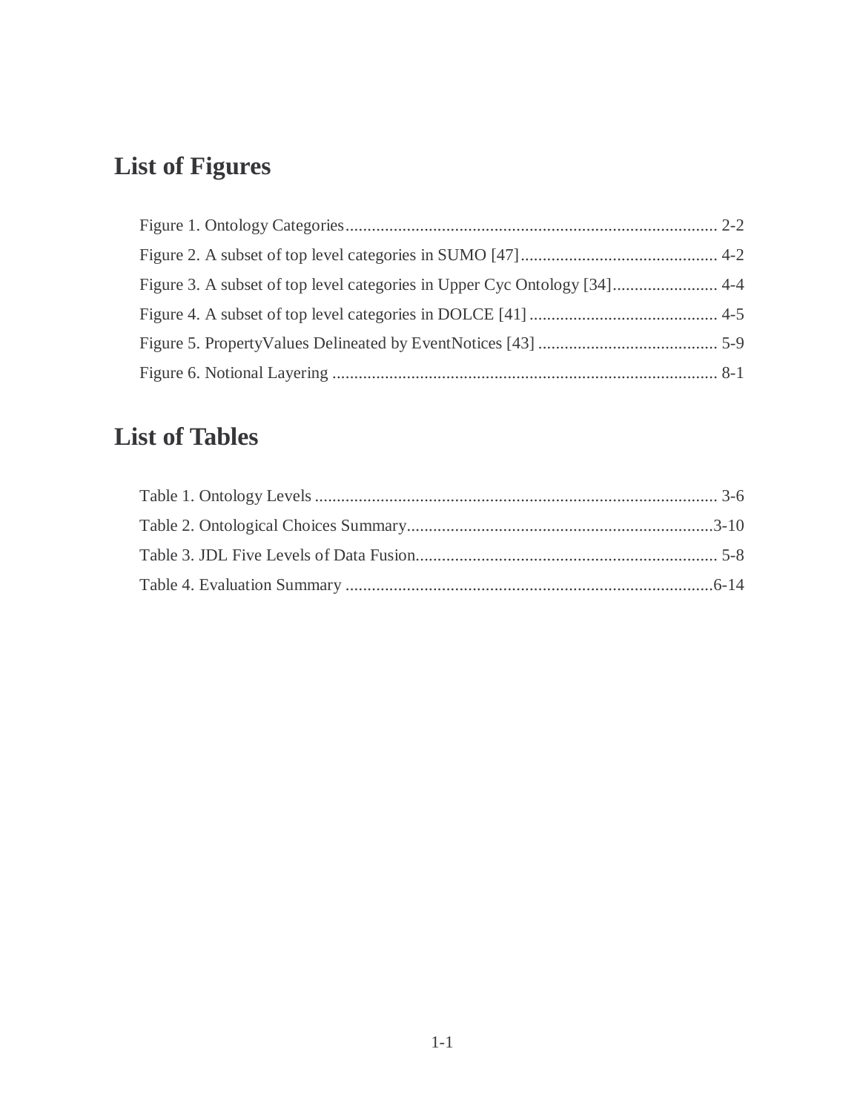# **List of Figures**

# **List of Tables**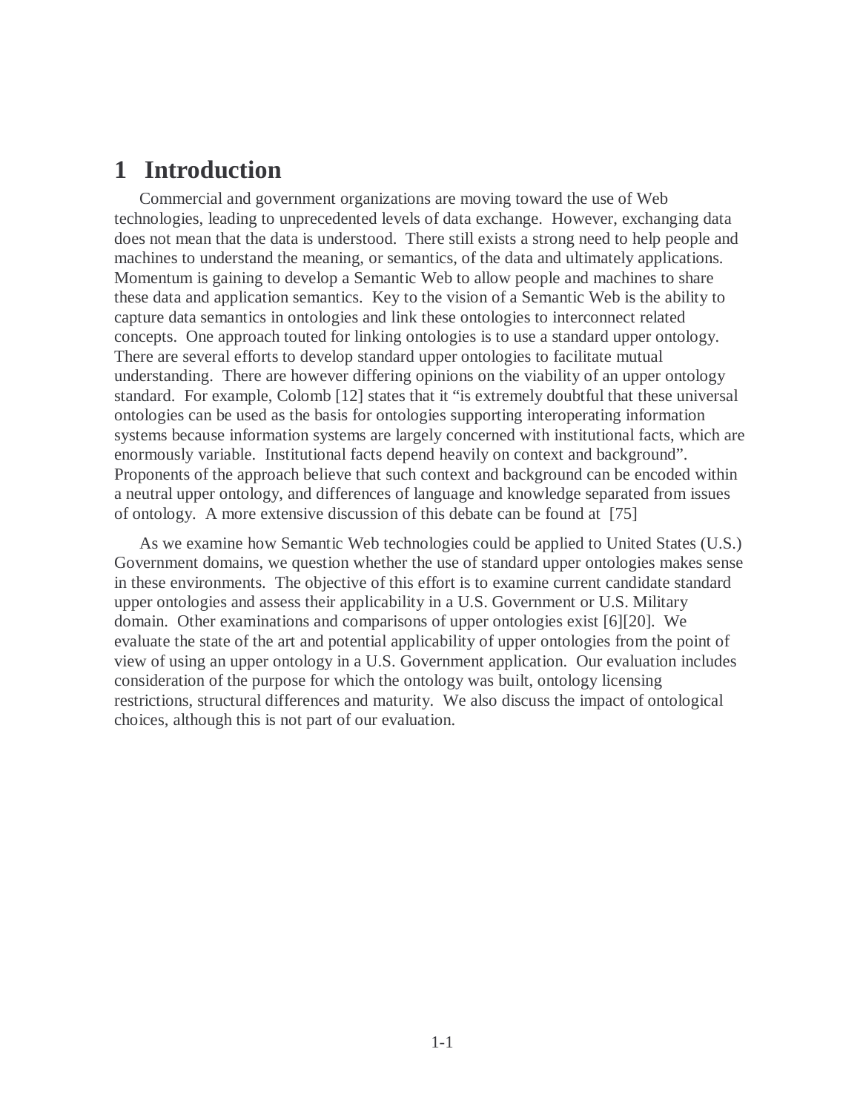# **1 Introduction**

Commercial and government organizations are moving toward the use of Web technologies, leading to unprecedented levels of data exchange. However, exchanging data does not mean that the data is understood. There still exists a strong need to help people and machines to understand the meaning, or semantics, of the data and ultimately applications. Momentum is gaining to develop a Semantic Web to allow people and machines to share these data and application semantics. Key to the vision of a Semantic Web is the ability to capture data semantics in ontologies and link these ontologies to interconnect related concepts. One approach touted for linking ontologies is to use a standard upper ontology. There are several efforts to develop standard upper ontologies to facilitate mutual understanding. There are however differing opinions on the viability of an upper ontology standard. For example, Colomb [12] states that it "is extremely doubtful that these universal ontologies can be used as the basis for ontologies supporting interoperating information systems because information systems are largely concerned with institutional facts, which are enormously variable. Institutional facts depend heavily on context and background". Proponents of the approach believe that such context and background can be encoded within a neutral upper ontology, and differences of language and knowledge separated from issues of ontology. A more extensive discussion of this debate can be found at [75]

As we examine how Semantic Web technologies could be applied to United States (U.S.) Government domains, we question whether the use of standard upper ontologies makes sense in these environments. The objective of this effort is to examine current candidate standard upper ontologies and assess their applicability in a U.S. Government or U.S. Military domain. Other examinations and comparisons of upper ontologies exist [6][20]. We evaluate the state of the art and potential applicability of upper ontologies from the point of view of using an upper ontology in a U.S. Government application. Our evaluation includes consideration of the purpose for which the ontology was built, ontology licensing restrictions, structural differences and maturity. We also discuss the impact of ontological choices, although this is not part of our evaluation.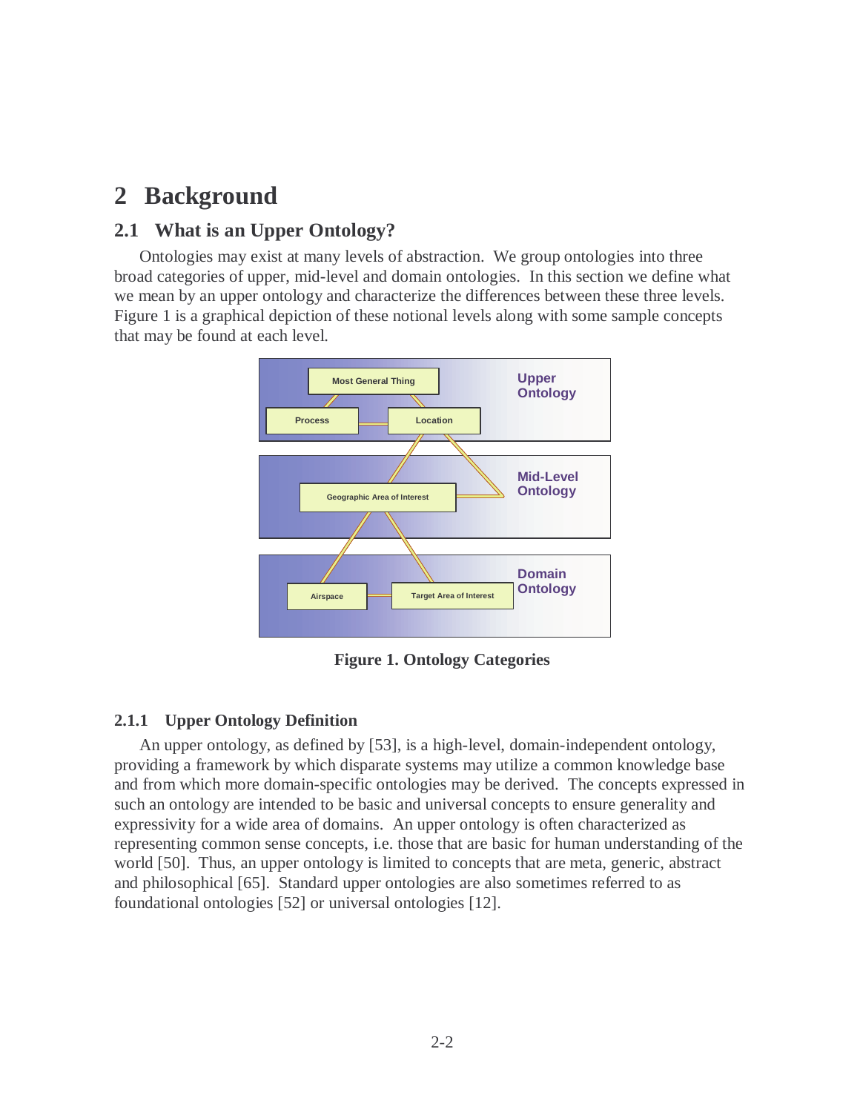# **2 Background**

### **2.1 What is an Upper Ontology?**

Ontologies may exist at many levels of abstraction. We group ontologies into three broad categories of upper, mid-level and domain ontologies. In this section we define what we mean by an upper ontology and characterize the differences between these three levels. Figure 1 is a graphical depiction of these notional levels along with some sample concepts that may be found at each level.



**Figure 1. Ontology Categories** 

#### **2.1.1 Upper Ontology Definition**

An upper ontology, as defined by [53], is a high-level, domain-independent ontology, providing a framework by which disparate systems may utilize a common knowledge base and from which more domain-specific ontologies may be derived. The concepts expressed in such an ontology are intended to be basic and universal concepts to ensure generality and expressivity for a wide area of domains. An upper ontology is often characterized as representing common sense concepts, i.e. those that are basic for human understanding of the world [50]. Thus, an upper ontology is limited to concepts that are meta, generic, abstract and philosophical [65]. Standard upper ontologies are also sometimes referred to as foundational ontologies [52] or universal ontologies [12].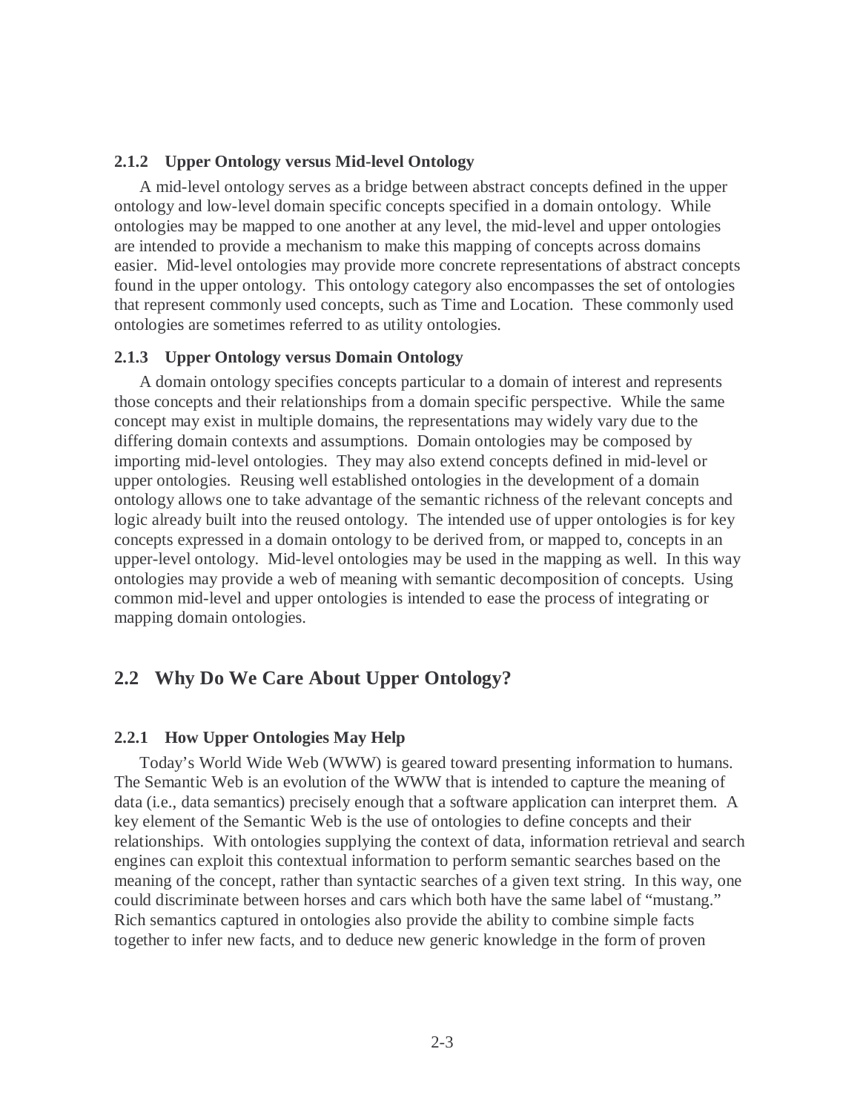#### **2.1.2 Upper Ontology versus Mid-level Ontology**

A mid-level ontology serves as a bridge between abstract concepts defined in the upper ontology and low-level domain specific concepts specified in a domain ontology. While ontologies may be mapped to one another at any level, the mid-level and upper ontologies are intended to provide a mechanism to make this mapping of concepts across domains easier. Mid-level ontologies may provide more concrete representations of abstract concepts found in the upper ontology. This ontology category also encompasses the set of ontologies that represent commonly used concepts, such as Time and Location. These commonly used ontologies are sometimes referred to as utility ontologies.

#### **2.1.3 Upper Ontology versus Domain Ontology**

A domain ontology specifies concepts particular to a domain of interest and represents those concepts and their relationships from a domain specific perspective. While the same concept may exist in multiple domains, the representations may widely vary due to the differing domain contexts and assumptions. Domain ontologies may be composed by importing mid-level ontologies. They may also extend concepts defined in mid-level or upper ontologies. Reusing well established ontologies in the development of a domain ontology allows one to take advantage of the semantic richness of the relevant concepts and logic already built into the reused ontology. The intended use of upper ontologies is for key concepts expressed in a domain ontology to be derived from, or mapped to, concepts in an upper-level ontology. Mid-level ontologies may be used in the mapping as well. In this way ontologies may provide a web of meaning with semantic decomposition of concepts. Using common mid-level and upper ontologies is intended to ease the process of integrating or mapping domain ontologies.

### **2.2 Why Do We Care About Upper Ontology?**

#### **2.2.1 How Upper Ontologies May Help**

Today's World Wide Web (WWW) is geared toward presenting information to humans. The Semantic Web is an evolution of the WWW that is intended to capture the meaning of data (i.e., data semantics) precisely enough that a software application can interpret them. A key element of the Semantic Web is the use of ontologies to define concepts and their relationships. With ontologies supplying the context of data, information retrieval and search engines can exploit this contextual information to perform semantic searches based on the meaning of the concept, rather than syntactic searches of a given text string. In this way, one could discriminate between horses and cars which both have the same label of "mustang." Rich semantics captured in ontologies also provide the ability to combine simple facts together to infer new facts, and to deduce new generic knowledge in the form of proven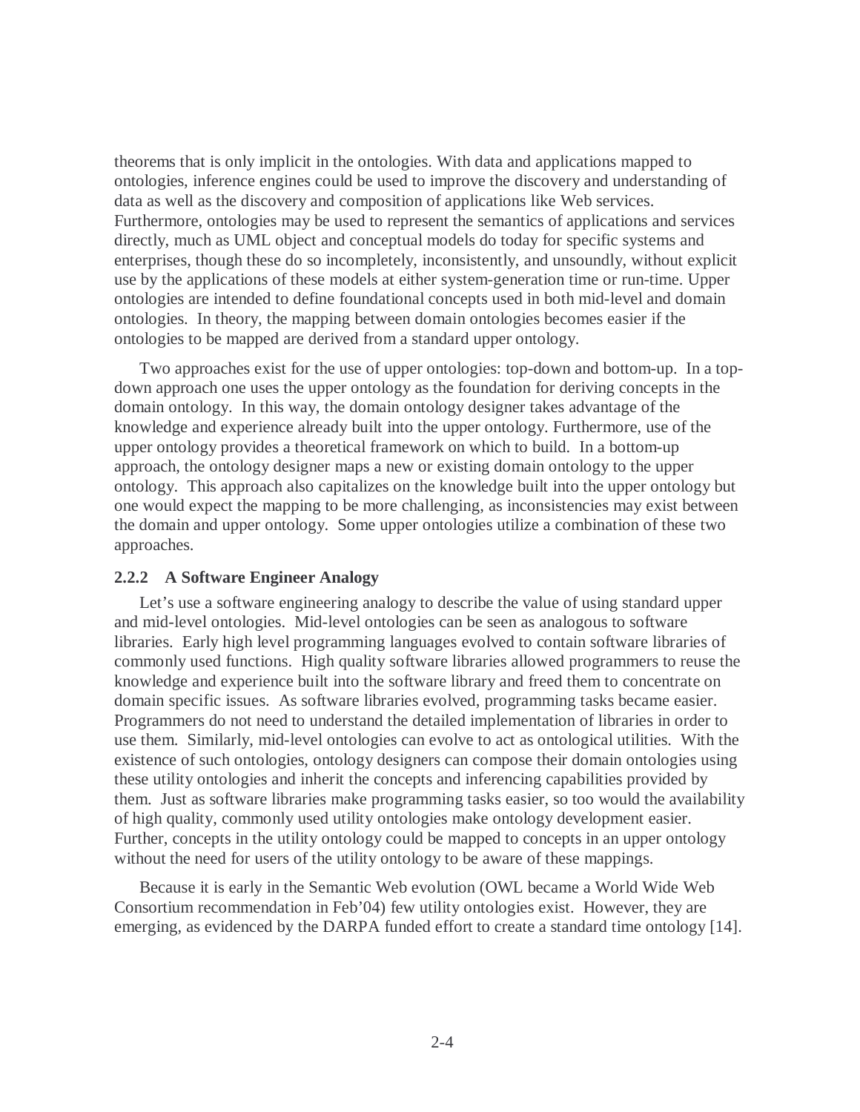theorems that is only implicit in the ontologies. With data and applications mapped to ontologies, inference engines could be used to improve the discovery and understanding of data as well as the discovery and composition of applications like Web services. Furthermore, ontologies may be used to represent the semantics of applications and services directly, much as UML object and conceptual models do today for specific systems and enterprises, though these do so incompletely, inconsistently, and unsoundly, without explicit use by the applications of these models at either system-generation time or run-time. Upper ontologies are intended to define foundational concepts used in both mid-level and domain ontologies. In theory, the mapping between domain ontologies becomes easier if the ontologies to be mapped are derived from a standard upper ontology.

Two approaches exist for the use of upper ontologies: top-down and bottom-up. In a topdown approach one uses the upper ontology as the foundation for deriving concepts in the domain ontology. In this way, the domain ontology designer takes advantage of the knowledge and experience already built into the upper ontology. Furthermore, use of the upper ontology provides a theoretical framework on which to build. In a bottom-up approach, the ontology designer maps a new or existing domain ontology to the upper ontology. This approach also capitalizes on the knowledge built into the upper ontology but one would expect the mapping to be more challenging, as inconsistencies may exist between the domain and upper ontology. Some upper ontologies utilize a combination of these two approaches.

#### **2.2.2 A Software Engineer Analogy**

Let's use a software engineering analogy to describe the value of using standard upper and mid-level ontologies. Mid-level ontologies can be seen as analogous to software libraries. Early high level programming languages evolved to contain software libraries of commonly used functions. High quality software libraries allowed programmers to reuse the knowledge and experience built into the software library and freed them to concentrate on domain specific issues. As software libraries evolved, programming tasks became easier. Programmers do not need to understand the detailed implementation of libraries in order to use them. Similarly, mid-level ontologies can evolve to act as ontological utilities. With the existence of such ontologies, ontology designers can compose their domain ontologies using these utility ontologies and inherit the concepts and inferencing capabilities provided by them. Just as software libraries make programming tasks easier, so too would the availability of high quality, commonly used utility ontologies make ontology development easier. Further, concepts in the utility ontology could be mapped to concepts in an upper ontology without the need for users of the utility ontology to be aware of these mappings.

Because it is early in the Semantic Web evolution (OWL became a World Wide Web Consortium recommendation in Feb'04) few utility ontologies exist. However, they are emerging, as evidenced by the DARPA funded effort to create a standard time ontology [14].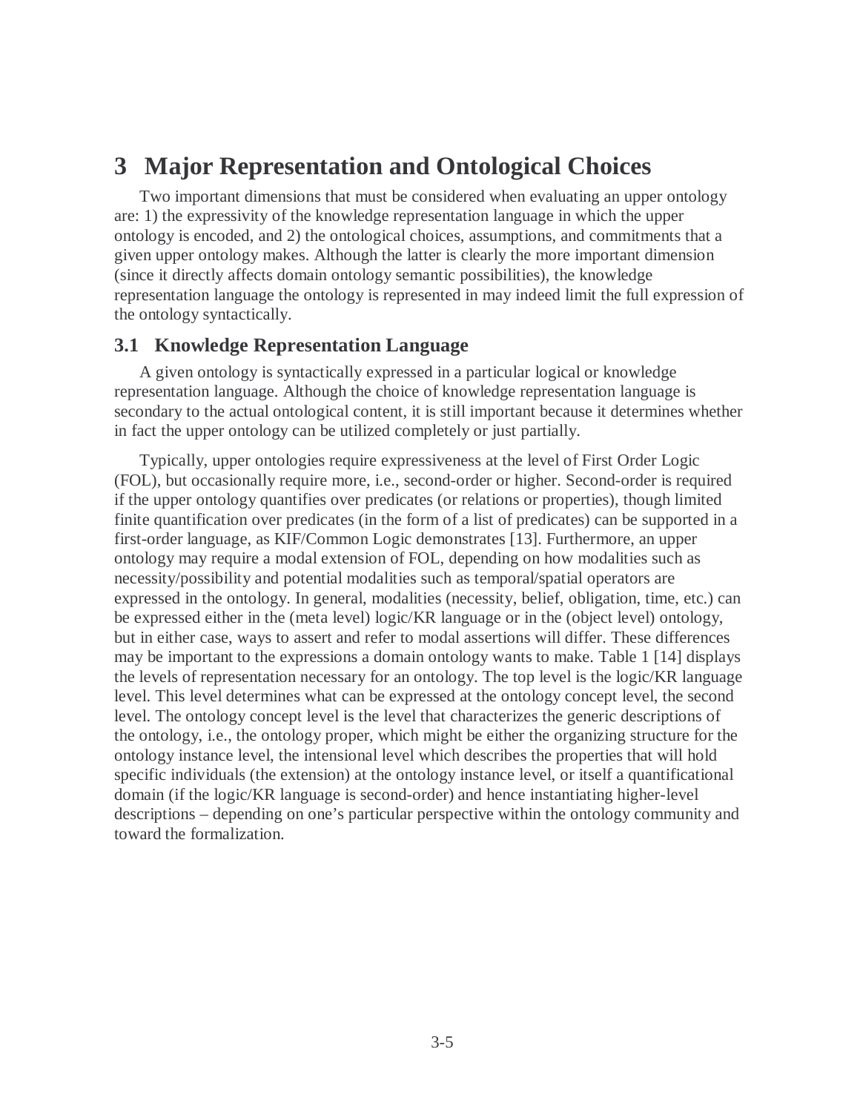# **3 Major Representation and Ontological Choices**

Two important dimensions that must be considered when evaluating an upper ontology are: 1) the expressivity of the knowledge representation language in which the upper ontology is encoded, and 2) the ontological choices, assumptions, and commitments that a given upper ontology makes. Although the latter is clearly the more important dimension (since it directly affects domain ontology semantic possibilities), the knowledge representation language the ontology is represented in may indeed limit the full expression of the ontology syntactically.

### **3.1 Knowledge Representation Language**

A given ontology is syntactically expressed in a particular logical or knowledge representation language. Although the choice of knowledge representation language is secondary to the actual ontological content, it is still important because it determines whether in fact the upper ontology can be utilized completely or just partially.

Typically, upper ontologies require expressiveness at the level of First Order Logic (FOL), but occasionally require more, i.e., second-order or higher. Second-order is required if the upper ontology quantifies over predicates (or relations or properties), though limited finite quantification over predicates (in the form of a list of predicates) can be supported in a first-order language, as KIF/Common Logic demonstrates [13]. Furthermore, an upper ontology may require a modal extension of FOL, depending on how modalities such as necessity/possibility and potential modalities such as temporal/spatial operators are expressed in the ontology. In general, modalities (necessity, belief, obligation, time, etc.) can be expressed either in the (meta level) logic/KR language or in the (object level) ontology, but in either case, ways to assert and refer to modal assertions will differ. These differences may be important to the expressions a domain ontology wants to make. Table 1 [14] displays the levels of representation necessary for an ontology. The top level is the logic/KR language level. This level determines what can be expressed at the ontology concept level, the second level. The ontology concept level is the level that characterizes the generic descriptions of the ontology, i.e., the ontology proper, which might be either the organizing structure for the ontology instance level, the intensional level which describes the properties that will hold specific individuals (the extension) at the ontology instance level, or itself a quantificational domain (if the logic/KR language is second-order) and hence instantiating higher-level descriptions – depending on one's particular perspective within the ontology community and toward the formalization.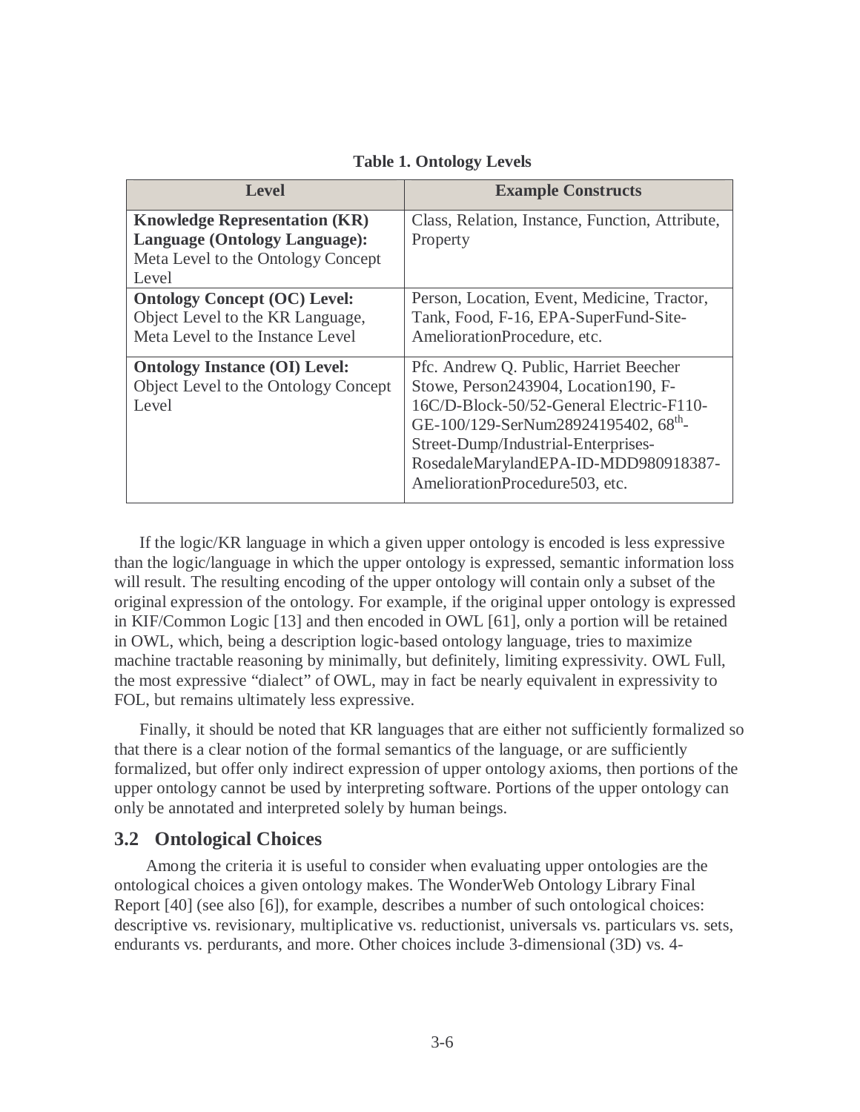|  |  | <b>Table 1. Ontology Levels</b> |  |
|--|--|---------------------------------|--|
|--|--|---------------------------------|--|

| <b>Level</b>                         | <b>Example Constructs</b>                        |
|--------------------------------------|--------------------------------------------------|
| <b>Knowledge Representation (KR)</b> | Class, Relation, Instance, Function, Attribute,  |
| <b>Language (Ontology Language):</b> | Property                                         |
| Meta Level to the Ontology Concept   |                                                  |
| Level                                |                                                  |
| <b>Ontology Concept (OC) Level:</b>  | Person, Location, Event, Medicine, Tractor,      |
| Object Level to the KR Language,     | Tank, Food, F-16, EPA-SuperFund-Site-            |
| Meta Level to the Instance Level     | AmeliorationProcedure, etc.                      |
| <b>Ontology Instance (OI) Level:</b> | Pfc. Andrew Q. Public, Harriet Beecher           |
| Object Level to the Ontology Concept | Stowe, Person243904, Location190, F-             |
| Level                                | 16C/D-Block-50/52-General Electric-F110-         |
|                                      | GE-100/129-SerNum28924195402, 68 <sup>th</sup> - |
|                                      | Street-Dump/Industrial-Enterprises-              |
|                                      | RosedaleMarylandEPA-ID-MDD980918387-             |
|                                      | AmeliorationProcedure503, etc.                   |

If the logic/KR language in which a given upper ontology is encoded is less expressive than the logic/language in which the upper ontology is expressed, semantic information loss will result. The resulting encoding of the upper ontology will contain only a subset of the original expression of the ontology. For example, if the original upper ontology is expressed in KIF/Common Logic [13] and then encoded in OWL [61], only a portion will be retained in OWL, which, being a description logic-based ontology language, tries to maximize machine tractable reasoning by minimally, but definitely, limiting expressivity. OWL Full, the most expressive "dialect" of OWL, may in fact be nearly equivalent in expressivity to FOL, but remains ultimately less expressive.

Finally, it should be noted that KR languages that are either not sufficiently formalized so that there is a clear notion of the formal semantics of the language, or are sufficiently formalized, but offer only indirect expression of upper ontology axioms, then portions of the upper ontology cannot be used by interpreting software. Portions of the upper ontology can only be annotated and interpreted solely by human beings.

## **3.2 Ontological Choices**

 Among the criteria it is useful to consider when evaluating upper ontologies are the ontological choices a given ontology makes. The WonderWeb Ontology Library Final Report [40] (see also [6]), for example, describes a number of such ontological choices: descriptive vs. revisionary, multiplicative vs. reductionist, universals vs. particulars vs. sets, endurants vs. perdurants, and more. Other choices include 3-dimensional (3D) vs. 4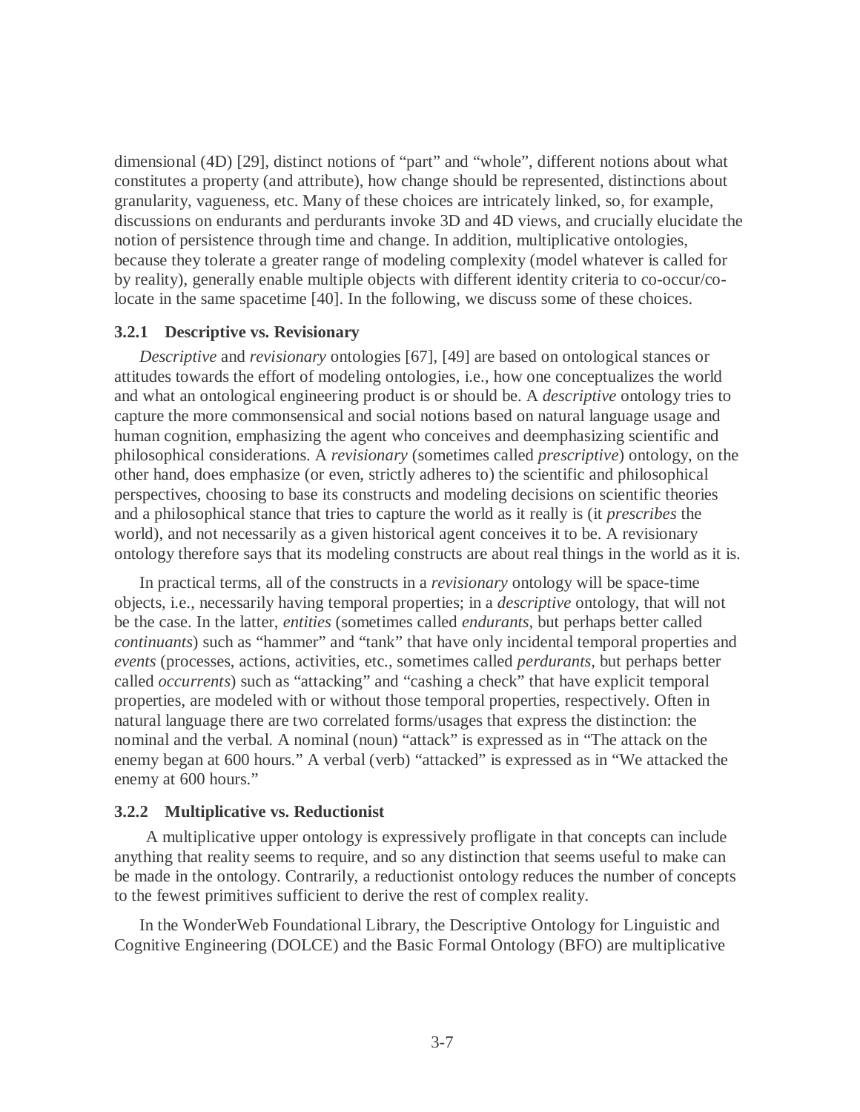dimensional (4D) [29], distinct notions of "part" and "whole", different notions about what constitutes a property (and attribute), how change should be represented, distinctions about granularity, vagueness, etc. Many of these choices are intricately linked, so, for example, discussions on endurants and perdurants invoke 3D and 4D views, and crucially elucidate the notion of persistence through time and change. In addition, multiplicative ontologies, because they tolerate a greater range of modeling complexity (model whatever is called for by reality), generally enable multiple objects with different identity criteria to co-occur/colocate in the same spacetime [40]. In the following, we discuss some of these choices.

#### **3.2.1 Descriptive vs. Revisionary**

*Descriptive* and *revisionary* ontologies [67], [49] are based on ontological stances or attitudes towards the effort of modeling ontologies, i.e., how one conceptualizes the world and what an ontological engineering product is or should be. A *descriptive* ontology tries to capture the more commonsensical and social notions based on natural language usage and human cognition, emphasizing the agent who conceives and deemphasizing scientific and philosophical considerations. A *revisionary* (sometimes called *prescriptive*) ontology, on the other hand, does emphasize (or even, strictly adheres to) the scientific and philosophical perspectives, choosing to base its constructs and modeling decisions on scientific theories and a philosophical stance that tries to capture the world as it really is (it *prescribes* the world), and not necessarily as a given historical agent conceives it to be. A revisionary ontology therefore says that its modeling constructs are about real things in the world as it is.

In practical terms, all of the constructs in a *revisionary* ontology will be space-time objects, i.e., necessarily having temporal properties; in a *descriptive* ontology, that will not be the case. In the latter, *entities* (sometimes called *endurants,* but perhaps better called *continuants*) such as "hammer" and "tank" that have only incidental temporal properties and *events* (processes, actions, activities, etc., sometimes called *perdurants,* but perhaps better called *occurrents*) such as "attacking" and "cashing a check" that have explicit temporal properties, are modeled with or without those temporal properties, respectively. Often in natural language there are two correlated forms/usages that express the distinction: the nominal and the verbal. A nominal (noun) "attack" is expressed as in "The attack on the enemy began at 600 hours." A verbal (verb) "attacked" is expressed as in "We attacked the enemy at 600 hours."

#### **3.2.2 Multiplicative vs. Reductionist**

 A multiplicative upper ontology is expressively profligate in that concepts can include anything that reality seems to require, and so any distinction that seems useful to make can be made in the ontology. Contrarily, a reductionist ontology reduces the number of concepts to the fewest primitives sufficient to derive the rest of complex reality.

In the WonderWeb Foundational Library, the Descriptive Ontology for Linguistic and Cognitive Engineering (DOLCE) and the Basic Formal Ontology (BFO) are multiplicative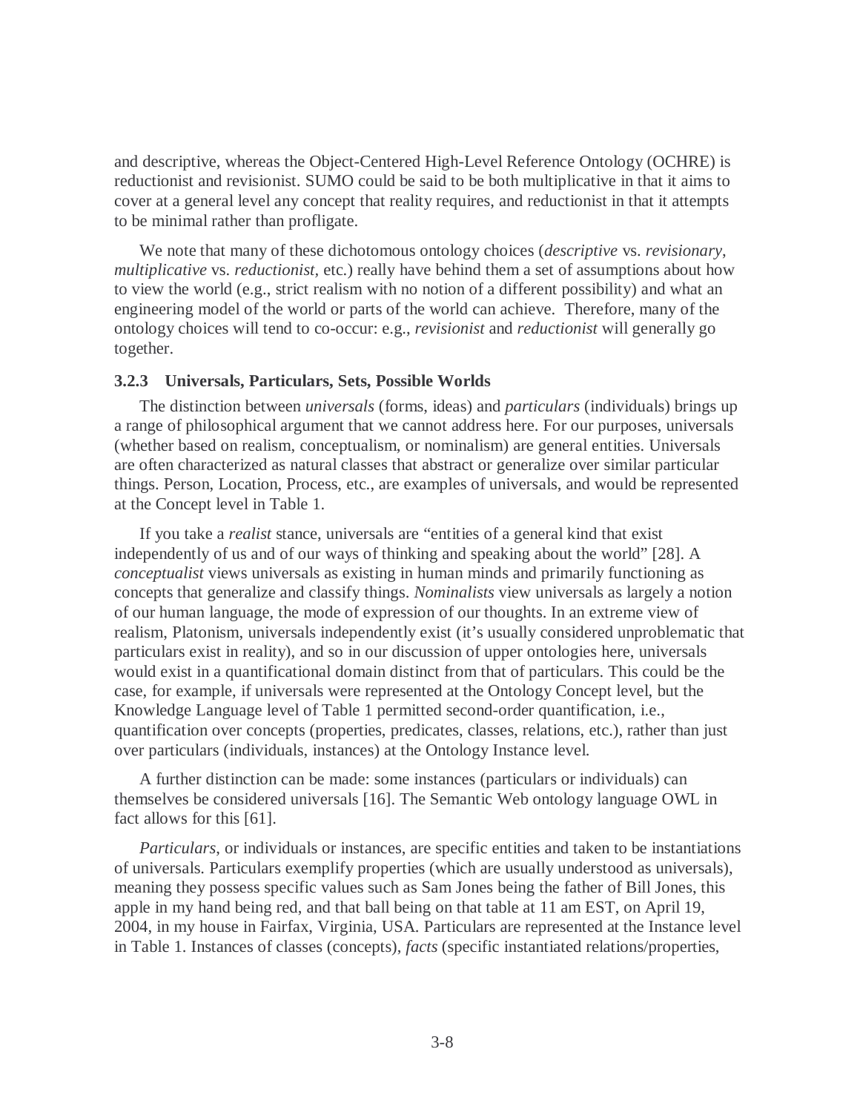and descriptive, whereas the Object-Centered High-Level Reference Ontology (OCHRE) is reductionist and revisionist. SUMO could be said to be both multiplicative in that it aims to cover at a general level any concept that reality requires, and reductionist in that it attempts to be minimal rather than profligate.

We note that many of these dichotomous ontology choices (*descriptive* vs. *revisionary*, *multiplicative* vs. *reductionist,* etc.) really have behind them a set of assumptions about how to view the world (e.g., strict realism with no notion of a different possibility) and what an engineering model of the world or parts of the world can achieve. Therefore, many of the ontology choices will tend to co-occur: e.g., *revisionist* and *reductionist* will generally go together.

#### **3.2.3 Universals, Particulars, Sets, Possible Worlds**

The distinction between *universals* (forms, ideas) and *particulars* (individuals) brings up a range of philosophical argument that we cannot address here. For our purposes, universals (whether based on realism, conceptualism, or nominalism) are general entities. Universals are often characterized as natural classes that abstract or generalize over similar particular things. Person, Location, Process, etc., are examples of universals, and would be represented at the Concept level in Table 1.

If you take a *realist* stance, universals are "entities of a general kind that exist independently of us and of our ways of thinking and speaking about the world" [28]. A *conceptualist* views universals as existing in human minds and primarily functioning as concepts that generalize and classify things. *Nominalists* view universals as largely a notion of our human language, the mode of expression of our thoughts. In an extreme view of realism, Platonism, universals independently exist (it's usually considered unproblematic that particulars exist in reality), and so in our discussion of upper ontologies here, universals would exist in a quantificational domain distinct from that of particulars. This could be the case, for example, if universals were represented at the Ontology Concept level, but the Knowledge Language level of Table 1 permitted second-order quantification, i.e., quantification over concepts (properties, predicates, classes, relations, etc.), rather than just over particulars (individuals, instances) at the Ontology Instance level.

A further distinction can be made: some instances (particulars or individuals) can themselves be considered universals [16]. The Semantic Web ontology language OWL in fact allows for this [61].

*Particulars*, or individuals or instances, are specific entities and taken to be instantiations of universals. Particulars exemplify properties (which are usually understood as universals), meaning they possess specific values such as Sam Jones being the father of Bill Jones, this apple in my hand being red, and that ball being on that table at 11 am EST, on April 19, 2004, in my house in Fairfax, Virginia, USA. Particulars are represented at the Instance level in Table 1. Instances of classes (concepts), *facts* (specific instantiated relations/properties,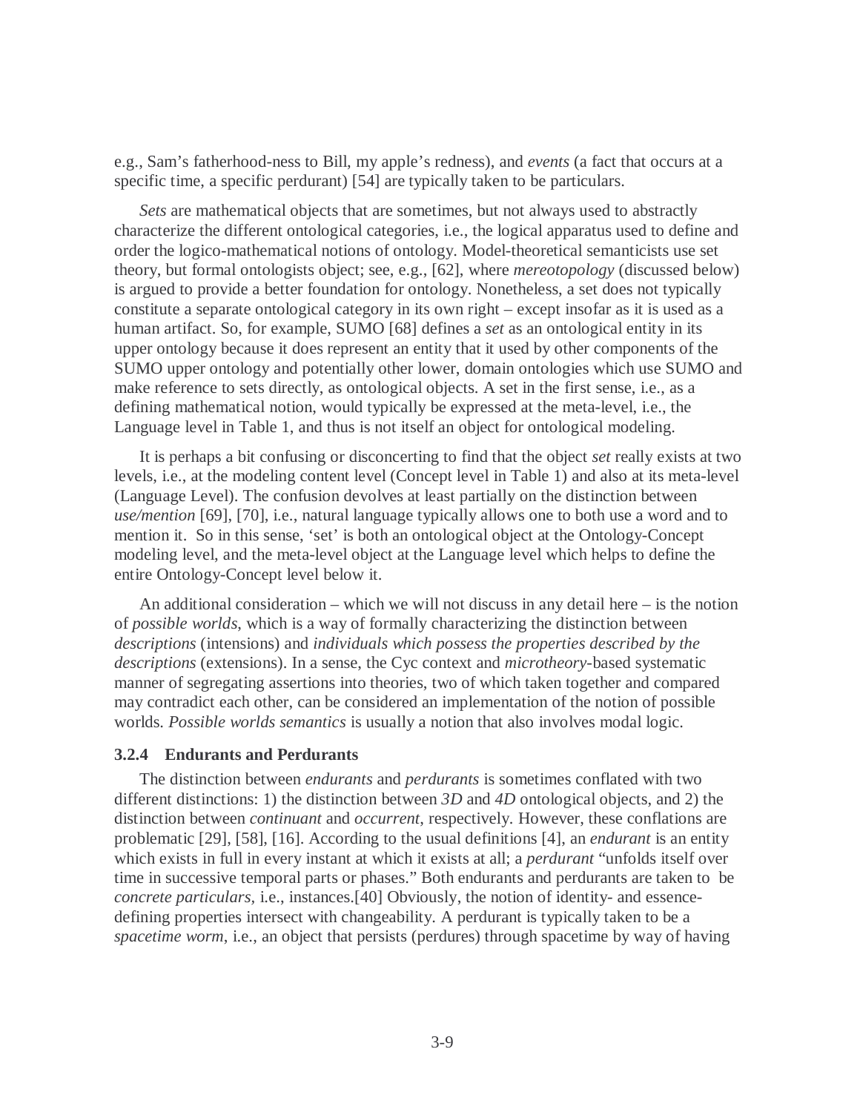e.g., Sam's fatherhood-ness to Bill, my apple's redness), and *events* (a fact that occurs at a specific time, a specific perdurant) [54] are typically taken to be particulars.

*Sets* are mathematical objects that are sometimes, but not always used to abstractly characterize the different ontological categories, i.e., the logical apparatus used to define and order the logico-mathematical notions of ontology. Model-theoretical semanticists use set theory, but formal ontologists object; see, e.g., [62], where *mereotopology* (discussed below) is argued to provide a better foundation for ontology. Nonetheless, a set does not typically constitute a separate ontological category in its own right – except insofar as it is used as a human artifact. So, for example, SUMO [68] defines a *set* as an ontological entity in its upper ontology because it does represent an entity that it used by other components of the SUMO upper ontology and potentially other lower, domain ontologies which use SUMO and make reference to sets directly, as ontological objects. A set in the first sense, i.e., as a defining mathematical notion, would typically be expressed at the meta-level, i.e., the Language level in Table 1, and thus is not itself an object for ontological modeling.

It is perhaps a bit confusing or disconcerting to find that the object *set* really exists at two levels, i.e., at the modeling content level (Concept level in Table 1) and also at its meta-level (Language Level). The confusion devolves at least partially on the distinction between *use/mention* [69], [70], i.e., natural language typically allows one to both use a word and to mention it. So in this sense, 'set' is both an ontological object at the Ontology-Concept modeling level, and the meta-level object at the Language level which helps to define the entire Ontology-Concept level below it.

An additional consideration – which we will not discuss in any detail here – is the notion of *possible worlds*, which is a way of formally characterizing the distinction between *descriptions* (intensions) and *individuals which possess the properties described by the descriptions* (extensions). In a sense, the Cyc context and *microtheory-*based systematic manner of segregating assertions into theories, two of which taken together and compared may contradict each other, can be considered an implementation of the notion of possible worlds. *Possible worlds semantics* is usually a notion that also involves modal logic.

#### **3.2.4 Endurants and Perdurants**

The distinction between *endurants* and *perdurants* is sometimes conflated with two different distinctions: 1) the distinction between *3D* and *4D* ontological objects, and 2) the distinction between *continuant* and *occurrent*, respectively*.* However, these conflations are problematic [29], [58], [16]. According to the usual definitions [4], an *endurant* is an entity which exists in full in every instant at which it exists at all; a *perdurant* "unfolds itself over time in successive temporal parts or phases." Both endurants and perdurants are taken to be *concrete particulars,* i.e., instances.[40] Obviously, the notion of identity- and essencedefining properties intersect with changeability. A perdurant is typically taken to be a *spacetime worm*, i.e., an object that persists (perdures) through spacetime by way of having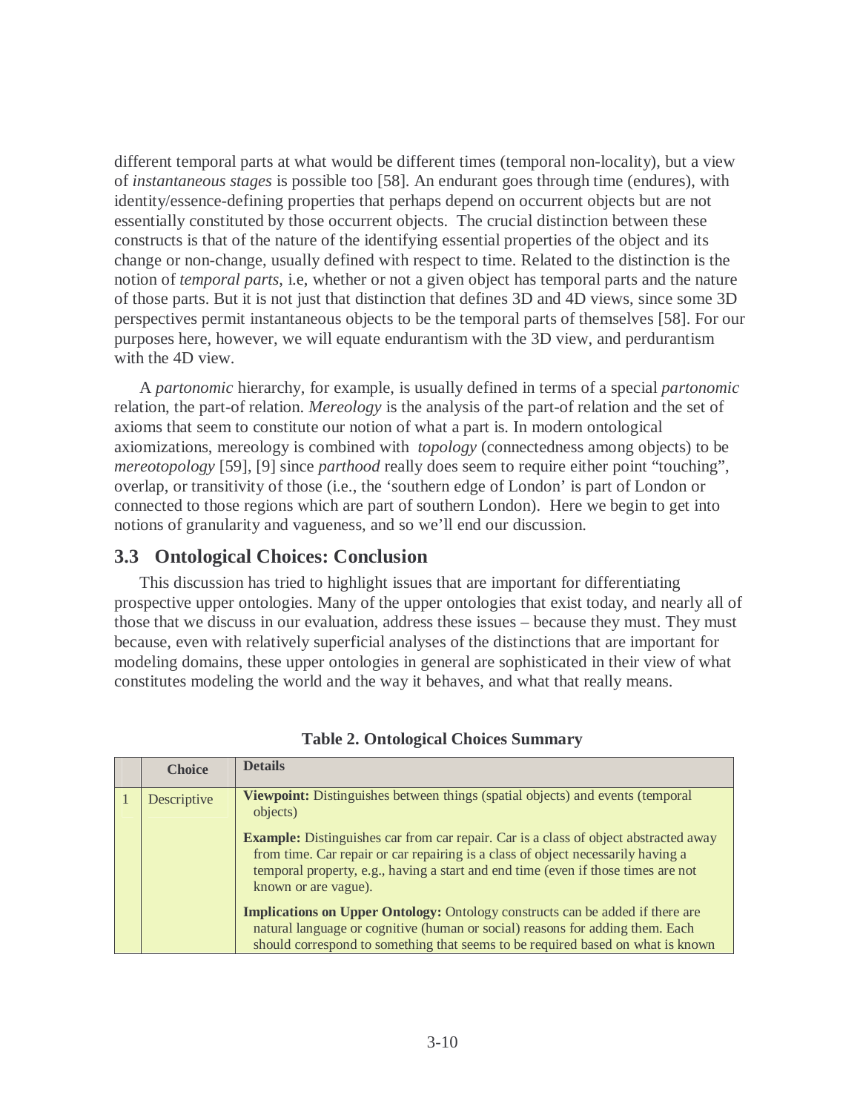different temporal parts at what would be different times (temporal non-locality), but a view of *instantaneous stages* is possible too [58]. An endurant goes through time (endures), with identity/essence-defining properties that perhaps depend on occurrent objects but are not essentially constituted by those occurrent objects. The crucial distinction between these constructs is that of the nature of the identifying essential properties of the object and its change or non-change, usually defined with respect to time. Related to the distinction is the notion of *temporal parts*, i.e, whether or not a given object has temporal parts and the nature of those parts. But it is not just that distinction that defines 3D and 4D views, since some 3D perspectives permit instantaneous objects to be the temporal parts of themselves [58]. For our purposes here, however, we will equate endurantism with the 3D view, and perdurantism with the 4D view.

A *partonomic* hierarchy, for example, is usually defined in terms of a special *partonomic* relation, the part-of relation. *Mereology* is the analysis of the part-of relation and the set of axioms that seem to constitute our notion of what a part is. In modern ontological axiomizations, mereology is combined with *topology* (connectedness among objects) to be *mereotopology* [59], [9] since *parthood* really does seem to require either point "touching", overlap, or transitivity of those (i.e., the 'southern edge of London' is part of London or connected to those regions which are part of southern London). Here we begin to get into notions of granularity and vagueness, and so we'll end our discussion.

### **3.3 Ontological Choices: Conclusion**

This discussion has tried to highlight issues that are important for differentiating prospective upper ontologies. Many of the upper ontologies that exist today, and nearly all of those that we discuss in our evaluation, address these issues – because they must. They must because, even with relatively superficial analyses of the distinctions that are important for modeling domains, these upper ontologies in general are sophisticated in their view of what constitutes modeling the world and the way it behaves, and what that really means.

|                         | <b>Choice</b> | <b>Details</b>                                                                                                                                                                                                                                                                               |
|-------------------------|---------------|----------------------------------------------------------------------------------------------------------------------------------------------------------------------------------------------------------------------------------------------------------------------------------------------|
| Descriptive<br>objects) |               | <b>Viewpoint:</b> Distinguishes between things (spatial objects) and events (temporal                                                                                                                                                                                                        |
|                         |               | <b>Example:</b> Distinguishes car from car repair. Car is a class of object abstracted away<br>from time. Car repair or car repairing is a class of object necessarily having a<br>temporal property, e.g., having a start and end time (even if those times are not<br>known or are vague). |
|                         |               | <b>Implications on Upper Ontology:</b> Ontology constructs can be added if there are<br>natural language or cognitive (human or social) reasons for adding them. Each<br>should correspond to something that seems to be required based on what is known                                     |

**Table 2. Ontological Choices Summary**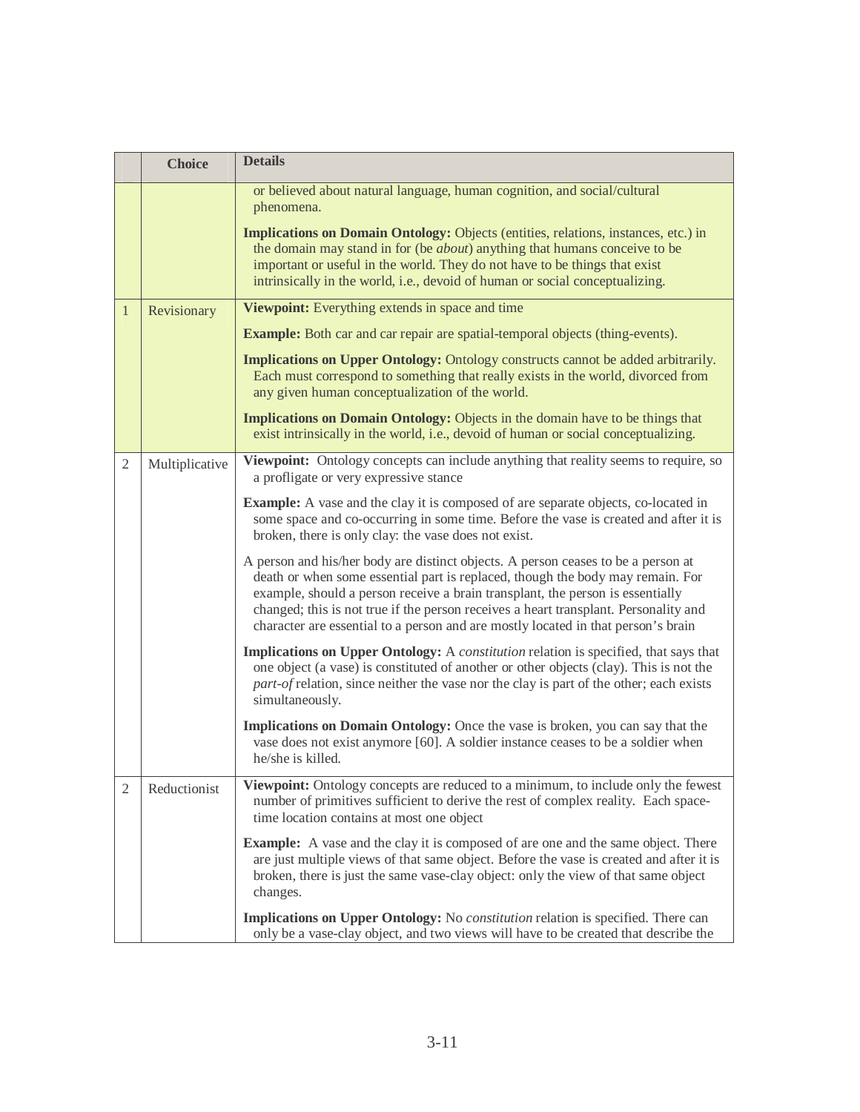|                | <b>Choice</b>  | <b>Details</b>                                                                                                                                                                                                                                                                                                                                                                                                                     |  |  |
|----------------|----------------|------------------------------------------------------------------------------------------------------------------------------------------------------------------------------------------------------------------------------------------------------------------------------------------------------------------------------------------------------------------------------------------------------------------------------------|--|--|
|                |                | or believed about natural language, human cognition, and social/cultural<br>phenomena.                                                                                                                                                                                                                                                                                                                                             |  |  |
|                |                | Implications on Domain Ontology: Objects (entities, relations, instances, etc.) in<br>the domain may stand in for (be <i>about</i> ) anything that humans conceive to be<br>important or useful in the world. They do not have to be things that exist<br>intrinsically in the world, i.e., devoid of human or social conceptualizing.                                                                                             |  |  |
| $\mathbf{1}$   | Revisionary    | Viewpoint: Everything extends in space and time                                                                                                                                                                                                                                                                                                                                                                                    |  |  |
|                |                | <b>Example:</b> Both car and car repair are spatial-temporal objects (thing-events).                                                                                                                                                                                                                                                                                                                                               |  |  |
|                |                | Implications on Upper Ontology: Ontology constructs cannot be added arbitrarily.<br>Each must correspond to something that really exists in the world, divorced from<br>any given human conceptualization of the world.                                                                                                                                                                                                            |  |  |
|                |                | Implications on Domain Ontology: Objects in the domain have to be things that<br>exist intrinsically in the world, i.e., devoid of human or social conceptualizing.                                                                                                                                                                                                                                                                |  |  |
| $\mathfrak{2}$ | Multiplicative | Viewpoint: Ontology concepts can include anything that reality seems to require, so<br>a profligate or very expressive stance                                                                                                                                                                                                                                                                                                      |  |  |
|                |                | <b>Example:</b> A vase and the clay it is composed of are separate objects, co-located in<br>some space and co-occurring in some time. Before the vase is created and after it is<br>broken, there is only clay: the vase does not exist.                                                                                                                                                                                          |  |  |
|                |                | A person and his/her body are distinct objects. A person ceases to be a person at<br>death or when some essential part is replaced, though the body may remain. For<br>example, should a person receive a brain transplant, the person is essentially<br>changed; this is not true if the person receives a heart transplant. Personality and<br>character are essential to a person and are mostly located in that person's brain |  |  |
|                |                | Implications on Upper Ontology: A constitution relation is specified, that says that<br>one object (a vase) is constituted of another or other objects (clay). This is not the<br>part-of relation, since neither the vase nor the clay is part of the other; each exists<br>simultaneously.                                                                                                                                       |  |  |
|                |                | Implications on Domain Ontology: Once the vase is broken, you can say that the<br>vase does not exist anymore [60]. A soldier instance ceases to be a soldier when<br>he/she is killed.                                                                                                                                                                                                                                            |  |  |
| 2              | Reductionist   | Viewpoint: Ontology concepts are reduced to a minimum, to include only the fewest<br>number of primitives sufficient to derive the rest of complex reality. Each space-<br>time location contains at most one object                                                                                                                                                                                                               |  |  |
|                |                | Example: A vase and the clay it is composed of are one and the same object. There<br>are just multiple views of that same object. Before the vase is created and after it is<br>broken, there is just the same vase-clay object: only the view of that same object<br>changes.                                                                                                                                                     |  |  |
|                |                | <b>Implications on Upper Ontology:</b> No <i>constitution</i> relation is specified. There can<br>only be a vase-clay object, and two views will have to be created that describe the                                                                                                                                                                                                                                              |  |  |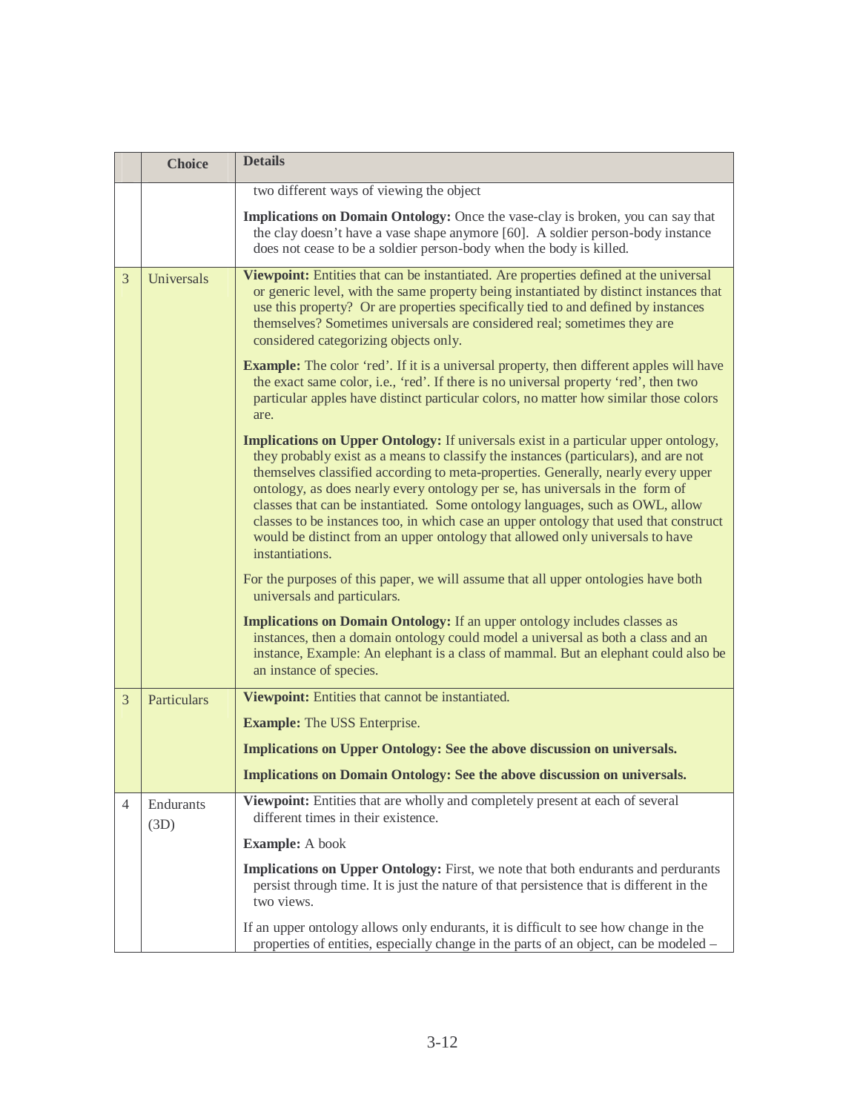|   | <b>Choice</b> | <b>Details</b>                                                                                                                                                                                                                                                                                                                                                                                                                                                                                                                                                                                                                        |  |  |
|---|---------------|---------------------------------------------------------------------------------------------------------------------------------------------------------------------------------------------------------------------------------------------------------------------------------------------------------------------------------------------------------------------------------------------------------------------------------------------------------------------------------------------------------------------------------------------------------------------------------------------------------------------------------------|--|--|
|   |               | two different ways of viewing the object                                                                                                                                                                                                                                                                                                                                                                                                                                                                                                                                                                                              |  |  |
|   |               | <b>Implications on Domain Ontology:</b> Once the vase-clay is broken, you can say that<br>the clay doesn't have a vase shape anymore [60]. A soldier person-body instance<br>does not cease to be a soldier person-body when the body is killed.                                                                                                                                                                                                                                                                                                                                                                                      |  |  |
| 3 | Universals    | Viewpoint: Entities that can be instantiated. Are properties defined at the universal<br>or generic level, with the same property being instantiated by distinct instances that<br>use this property? Or are properties specifically tied to and defined by instances<br>themselves? Sometimes universals are considered real; sometimes they are<br>considered categorizing objects only.                                                                                                                                                                                                                                            |  |  |
|   |               | <b>Example:</b> The color 'red'. If it is a universal property, then different apples will have<br>the exact same color, i.e., 'red'. If there is no universal property 'red', then two<br>particular apples have distinct particular colors, no matter how similar those colors<br>are.                                                                                                                                                                                                                                                                                                                                              |  |  |
|   |               | <b>Implications on Upper Ontology:</b> If universals exist in a particular upper ontology,<br>they probably exist as a means to classify the instances (particulars), and are not<br>themselves classified according to meta-properties. Generally, nearly every upper<br>ontology, as does nearly every ontology per se, has universals in the form of<br>classes that can be instantiated. Some ontology languages, such as OWL, allow<br>classes to be instances too, in which case an upper ontology that used that construct<br>would be distinct from an upper ontology that allowed only universals to have<br>instantiations. |  |  |
|   |               | For the purposes of this paper, we will assume that all upper ontologies have both<br>universals and particulars.                                                                                                                                                                                                                                                                                                                                                                                                                                                                                                                     |  |  |
|   |               | <b>Implications on Domain Ontology:</b> If an upper ontology includes classes as<br>instances, then a domain ontology could model a universal as both a class and an<br>instance, Example: An elephant is a class of mammal. But an elephant could also be<br>an instance of species.                                                                                                                                                                                                                                                                                                                                                 |  |  |
| 3 | Particulars   | Viewpoint: Entities that cannot be instantiated.                                                                                                                                                                                                                                                                                                                                                                                                                                                                                                                                                                                      |  |  |
|   |               | <b>Example:</b> The USS Enterprise.                                                                                                                                                                                                                                                                                                                                                                                                                                                                                                                                                                                                   |  |  |
|   |               | Implications on Upper Ontology: See the above discussion on universals.                                                                                                                                                                                                                                                                                                                                                                                                                                                                                                                                                               |  |  |
|   |               | Implications on Domain Ontology: See the above discussion on universals.                                                                                                                                                                                                                                                                                                                                                                                                                                                                                                                                                              |  |  |
| 4 | Endurants     | Viewpoint: Entities that are wholly and completely present at each of several<br>different times in their existence.                                                                                                                                                                                                                                                                                                                                                                                                                                                                                                                  |  |  |
|   | (3D)          | <b>Example:</b> A book                                                                                                                                                                                                                                                                                                                                                                                                                                                                                                                                                                                                                |  |  |
|   |               | <b>Implications on Upper Ontology:</b> First, we note that both endurants and perdurants<br>persist through time. It is just the nature of that persistence that is different in the<br>two views.                                                                                                                                                                                                                                                                                                                                                                                                                                    |  |  |
|   |               | If an upper ontology allows only endurants, it is difficult to see how change in the<br>properties of entities, especially change in the parts of an object, can be modeled –                                                                                                                                                                                                                                                                                                                                                                                                                                                         |  |  |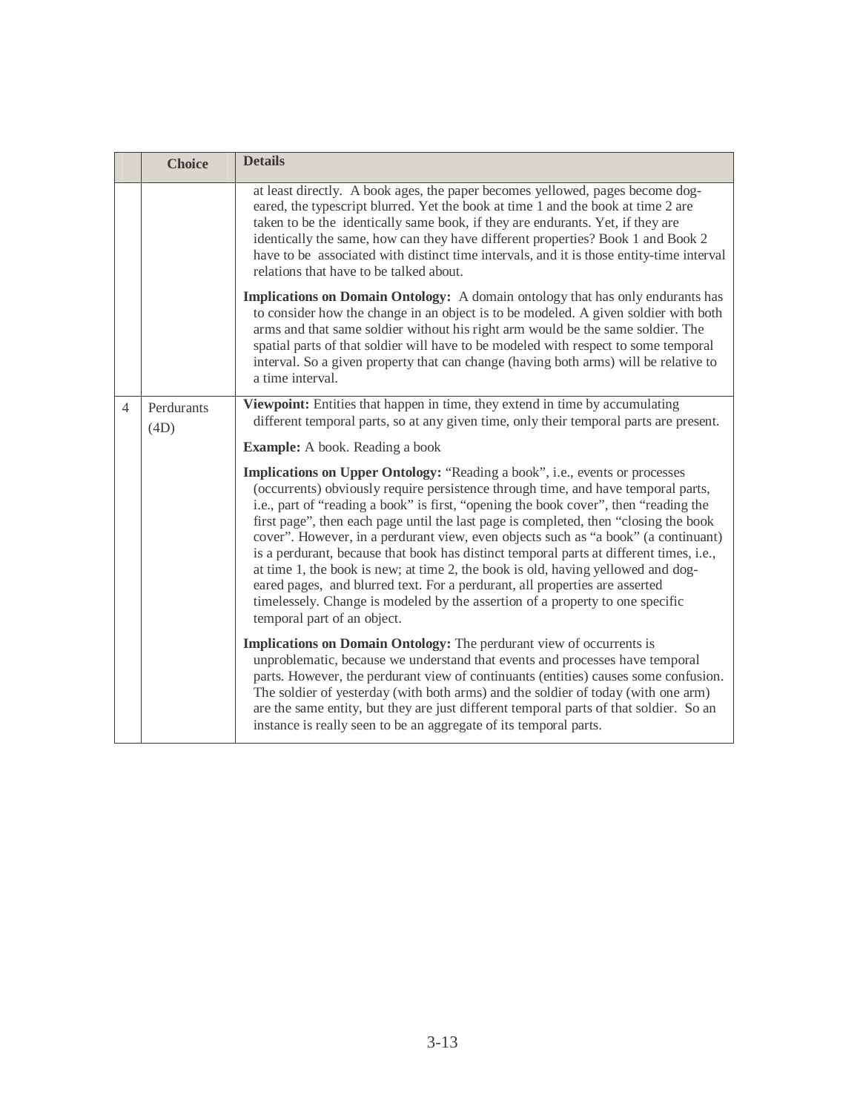|                | <b>Choice</b>      | <b>Details</b>                                                                                                                                                                                                                                                                                                                                                                                                                                                                                                                                                                                                                                                                                                                                                                                                               |  |  |
|----------------|--------------------|------------------------------------------------------------------------------------------------------------------------------------------------------------------------------------------------------------------------------------------------------------------------------------------------------------------------------------------------------------------------------------------------------------------------------------------------------------------------------------------------------------------------------------------------------------------------------------------------------------------------------------------------------------------------------------------------------------------------------------------------------------------------------------------------------------------------------|--|--|
|                |                    | at least directly. A book ages, the paper becomes yellowed, pages become dog-<br>eared, the typescript blurred. Yet the book at time 1 and the book at time 2 are<br>taken to be the identically same book, if they are endurants. Yet, if they are<br>identically the same, how can they have different properties? Book 1 and Book 2<br>have to be associated with distinct time intervals, and it is those entity-time interval<br>relations that have to be talked about.                                                                                                                                                                                                                                                                                                                                                |  |  |
|                |                    | <b>Implications on Domain Ontology:</b> A domain ontology that has only endurants has<br>to consider how the change in an object is to be modeled. A given soldier with both<br>arms and that same soldier without his right arm would be the same soldier. The<br>spatial parts of that soldier will have to be modeled with respect to some temporal<br>interval. So a given property that can change (having both arms) will be relative to<br>a time interval.                                                                                                                                                                                                                                                                                                                                                           |  |  |
| $\overline{4}$ | Perdurants<br>(4D) | Viewpoint: Entities that happen in time, they extend in time by accumulating<br>different temporal parts, so at any given time, only their temporal parts are present.                                                                                                                                                                                                                                                                                                                                                                                                                                                                                                                                                                                                                                                       |  |  |
|                |                    | <b>Example:</b> A book. Reading a book                                                                                                                                                                                                                                                                                                                                                                                                                                                                                                                                                                                                                                                                                                                                                                                       |  |  |
|                |                    | <b>Implications on Upper Ontology: "Reading a book", i.e., events or processes</b><br>(occurrents) obviously require persistence through time, and have temporal parts,<br>i.e., part of "reading a book" is first, "opening the book cover", then "reading the<br>first page", then each page until the last page is completed, then "closing the book"<br>cover". However, in a perdurant view, even objects such as "a book" (a continuant)<br>is a perdurant, because that book has distinct temporal parts at different times, i.e.,<br>at time 1, the book is new; at time 2, the book is old, having yellowed and dog-<br>eared pages, and blurred text. For a perdurant, all properties are asserted<br>timelessely. Change is modeled by the assertion of a property to one specific<br>temporal part of an object. |  |  |
|                |                    | Implications on Domain Ontology: The perdurant view of occurrents is<br>unproblematic, because we understand that events and processes have temporal<br>parts. However, the perdurant view of continuants (entities) causes some confusion.<br>The soldier of yesterday (with both arms) and the soldier of today (with one arm)<br>are the same entity, but they are just different temporal parts of that soldier. So an<br>instance is really seen to be an aggregate of its temporal parts.                                                                                                                                                                                                                                                                                                                              |  |  |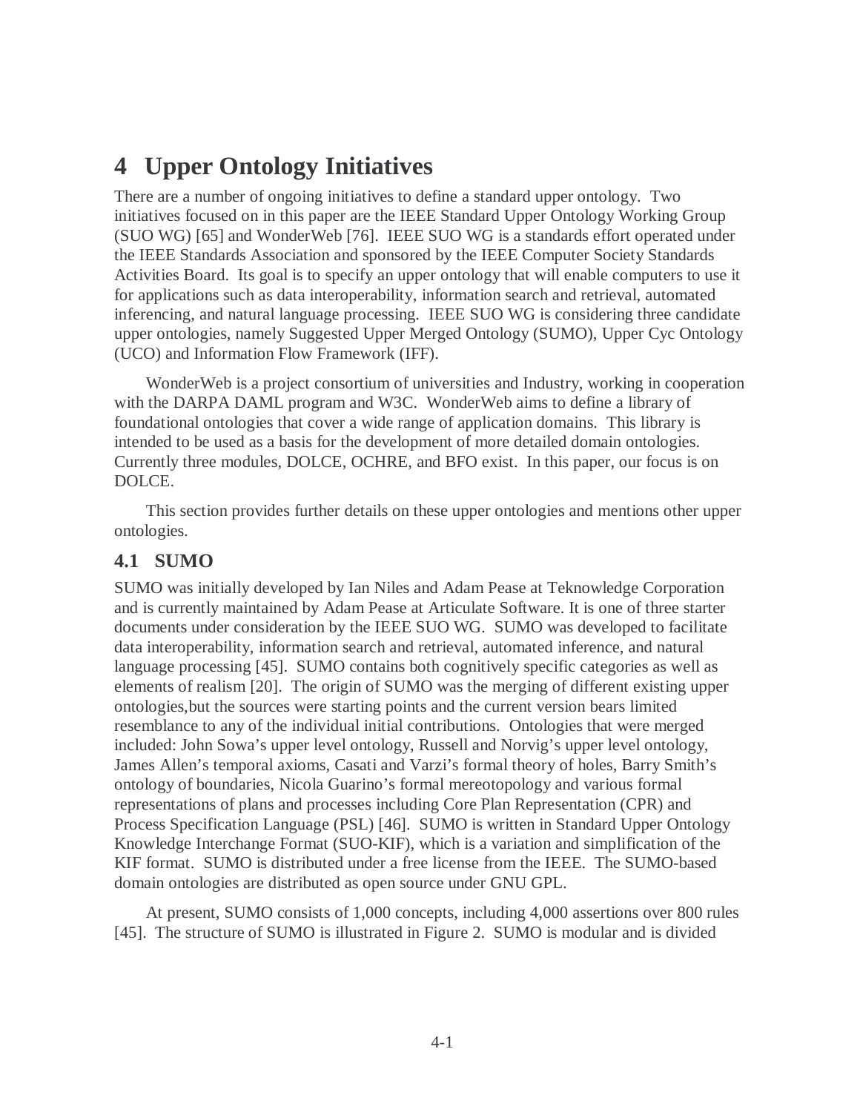# **4 Upper Ontology Initiatives**

There are a number of ongoing initiatives to define a standard upper ontology. Two initiatives focused on in this paper are the IEEE Standard Upper Ontology Working Group (SUO WG) [65] and WonderWeb [76]. IEEE SUO WG is a standards effort operated under the IEEE Standards Association and sponsored by the IEEE Computer Society Standards Activities Board. Its goal is to specify an upper ontology that will enable computers to use it for applications such as data interoperability, information search and retrieval, automated inferencing, and natural language processing. IEEE SUO WG is considering three candidate upper ontologies, namely Suggested Upper Merged Ontology (SUMO), Upper Cyc Ontology (UCO) and Information Flow Framework (IFF).

 WonderWeb is a project consortium of universities and Industry, working in cooperation with the DARPA DAML program and W3C. WonderWeb aims to define a library of foundational ontologies that cover a wide range of application domains. This library is intended to be used as a basis for the development of more detailed domain ontologies. Currently three modules, DOLCE, OCHRE, and BFO exist. In this paper, our focus is on DOLCE.

 This section provides further details on these upper ontologies and mentions other upper ontologies.

## **4.1 SUMO**

SUMO was initially developed by Ian Niles and Adam Pease at Teknowledge Corporation and is currently maintained by Adam Pease at Articulate Software. It is one of three starter documents under consideration by the IEEE SUO WG. SUMO was developed to facilitate data interoperability, information search and retrieval, automated inference, and natural language processing [45]. SUMO contains both cognitively specific categories as well as elements of realism [20]. The origin of SUMO was the merging of different existing upper ontologies,but the sources were starting points and the current version bears limited resemblance to any of the individual initial contributions. Ontologies that were merged included: John Sowa's upper level ontology, Russell and Norvig's upper level ontology, James Allen's temporal axioms, Casati and Varzi's formal theory of holes, Barry Smith's ontology of boundaries, Nicola Guarino's formal mereotopology and various formal representations of plans and processes including Core Plan Representation (CPR) and Process Specification Language (PSL) [46]. SUMO is written in Standard Upper Ontology Knowledge Interchange Format (SUO-KIF), which is a variation and simplification of the KIF format. SUMO is distributed under a free license from the IEEE. The SUMO-based domain ontologies are distributed as open source under GNU GPL.

 At present, SUMO consists of 1,000 concepts, including 4,000 assertions over 800 rules [45]. The structure of SUMO is illustrated in Figure 2. SUMO is modular and is divided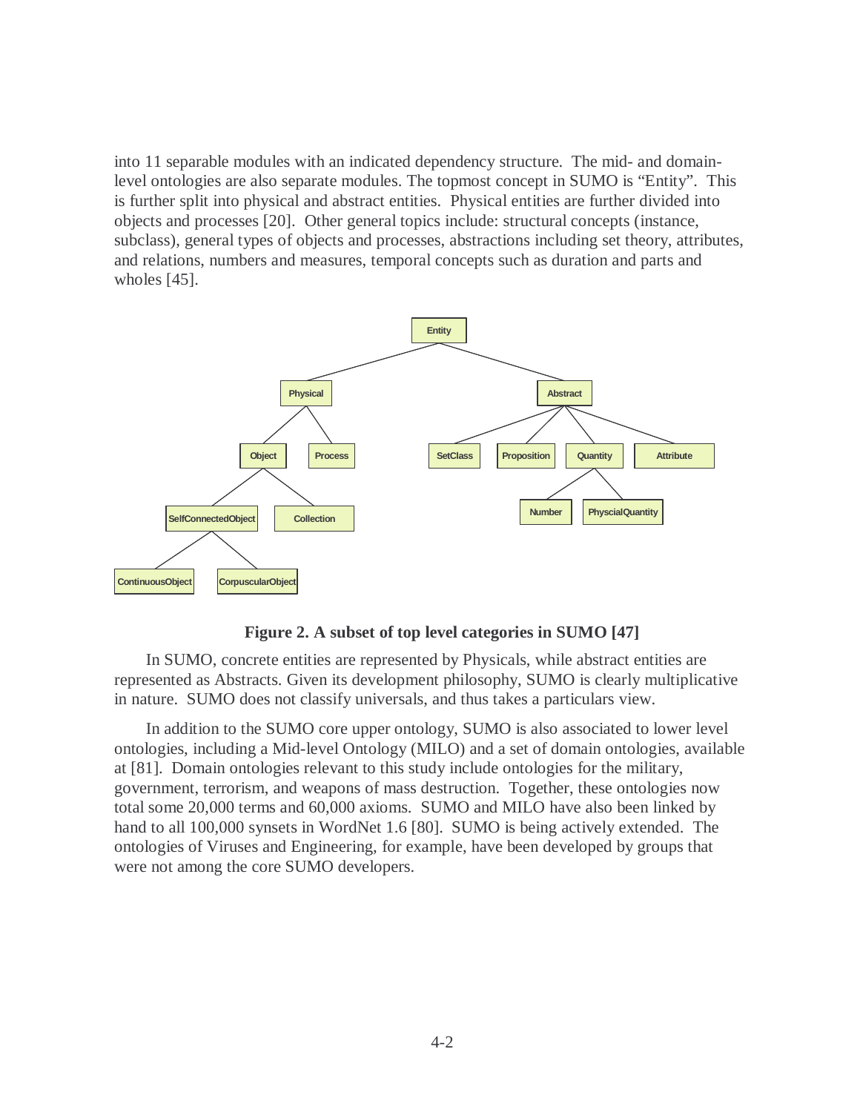into 11 separable modules with an indicated dependency structure. The mid- and domainlevel ontologies are also separate modules. The topmost concept in SUMO is "Entity". This is further split into physical and abstract entities. Physical entities are further divided into objects and processes [20]. Other general topics include: structural concepts (instance, subclass), general types of objects and processes, abstractions including set theory, attributes, and relations, numbers and measures, temporal concepts such as duration and parts and wholes [45].



**Figure 2. A subset of top level categories in SUMO [47]** 

 In SUMO, concrete entities are represented by Physicals, while abstract entities are represented as Abstracts. Given its development philosophy, SUMO is clearly multiplicative in nature. SUMO does not classify universals, and thus takes a particulars view.

 In addition to the SUMO core upper ontology, SUMO is also associated to lower level ontologies, including a Mid-level Ontology (MILO) and a set of domain ontologies, available at [81]. Domain ontologies relevant to this study include ontologies for the military, government, terrorism, and weapons of mass destruction. Together, these ontologies now total some 20,000 terms and 60,000 axioms. SUMO and MILO have also been linked by hand to all 100,000 synsets in WordNet 1.6 [80]. SUMO is being actively extended. The ontologies of Viruses and Engineering, for example, have been developed by groups that were not among the core SUMO developers.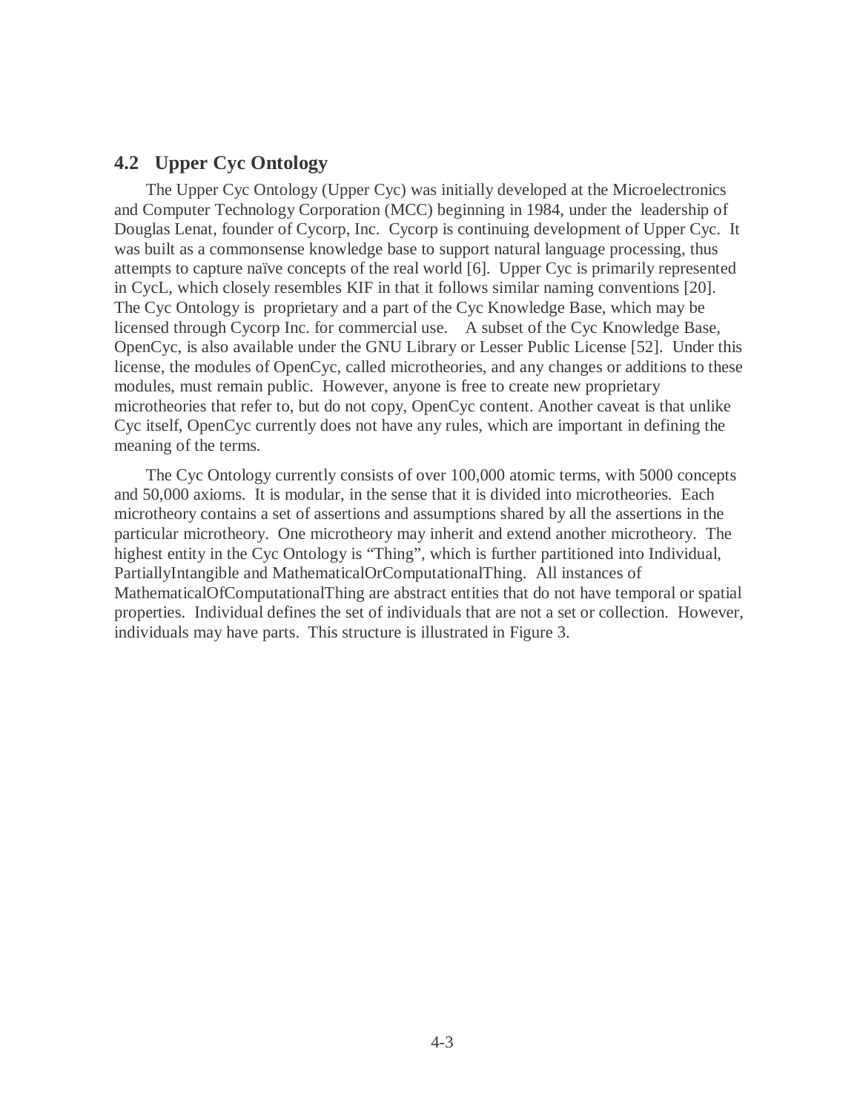## **4.2 Upper Cyc Ontology**

 The Upper Cyc Ontology (Upper Cyc) was initially developed at the Microelectronics and Computer Technology Corporation (MCC) beginning in 1984, under the leadership of Douglas Lenat, founder of Cycorp, Inc. Cycorp is continuing development of Upper Cyc. It was built as a commonsense knowledge base to support natural language processing, thus attempts to capture naïve concepts of the real world [6]. Upper Cyc is primarily represented in CycL, which closely resembles KIF in that it follows similar naming conventions [20]. The Cyc Ontology is proprietary and a part of the Cyc Knowledge Base, which may be licensed through Cycorp Inc. for commercial use. A subset of the Cyc Knowledge Base, OpenCyc, is also available under the GNU Library or Lesser Public License [52]. Under this license, the modules of OpenCyc, called microtheories, and any changes or additions to these modules, must remain public. However, anyone is free to create new proprietary microtheories that refer to, but do not copy, OpenCyc content. Another caveat is that unlike Cyc itself, OpenCyc currently does not have any rules, which are important in defining the meaning of the terms.

 The Cyc Ontology currently consists of over 100,000 atomic terms, with 5000 concepts and 50,000 axioms. It is modular, in the sense that it is divided into microtheories. Each microtheory contains a set of assertions and assumptions shared by all the assertions in the particular microtheory. One microtheory may inherit and extend another microtheory. The highest entity in the Cyc Ontology is "Thing", which is further partitioned into Individual, PartiallyIntangible and MathematicalOrComputationalThing. All instances of MathematicalOfComputationalThing are abstract entities that do not have temporal or spatial properties. Individual defines the set of individuals that are not a set or collection. However, individuals may have parts. This structure is illustrated in Figure 3.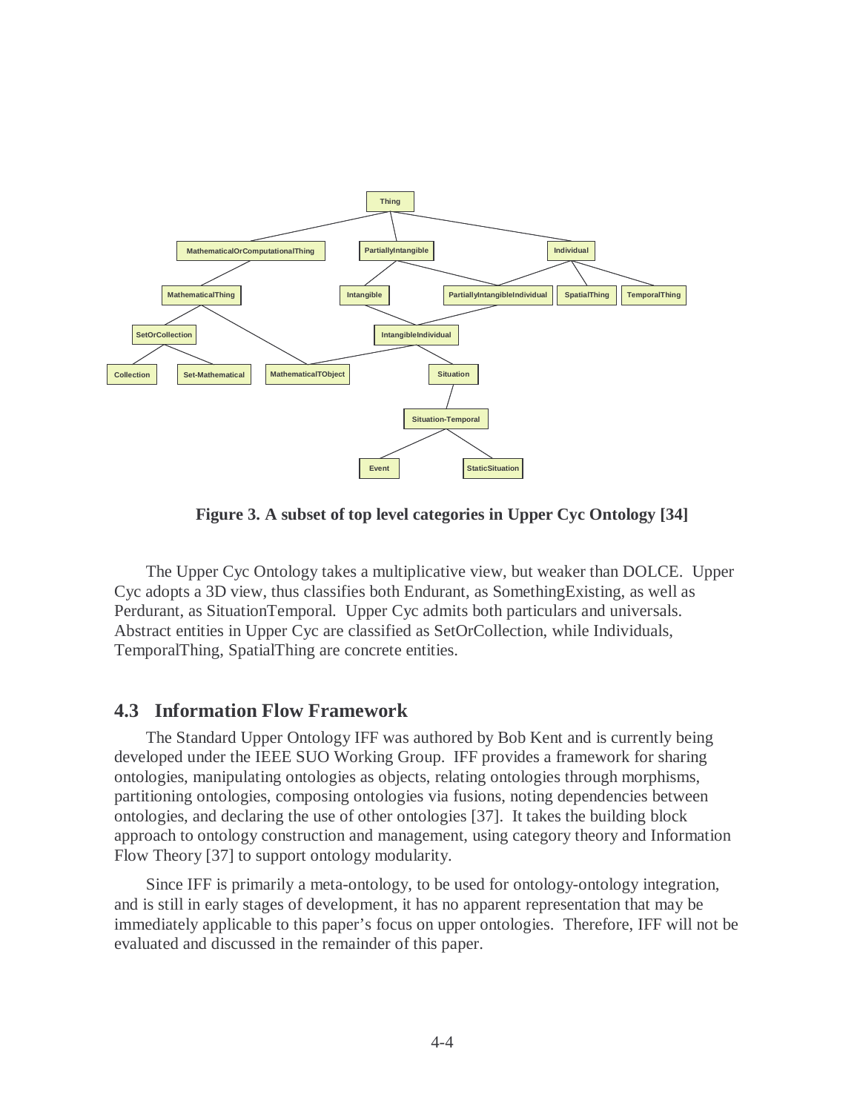

**Figure 3. A subset of top level categories in Upper Cyc Ontology [34]** 

 The Upper Cyc Ontology takes a multiplicative view, but weaker than DOLCE. Upper Cyc adopts a 3D view, thus classifies both Endurant, as SomethingExisting, as well as Perdurant, as SituationTemporal. Upper Cyc admits both particulars and universals. Abstract entities in Upper Cyc are classified as SetOrCollection, while Individuals, TemporalThing, SpatialThing are concrete entities.

### **4.3 Information Flow Framework**

 The Standard Upper Ontology IFF was authored by Bob Kent and is currently being developed under the IEEE SUO Working Group. IFF provides a framework for sharing ontologies, manipulating ontologies as objects, relating ontologies through morphisms, partitioning ontologies, composing ontologies via fusions, noting dependencies between ontologies, and declaring the use of other ontologies [37]. It takes the building block approach to ontology construction and management, using category theory and Information Flow Theory [37] to support ontology modularity.

 Since IFF is primarily a meta-ontology, to be used for ontology-ontology integration, and is still in early stages of development, it has no apparent representation that may be immediately applicable to this paper's focus on upper ontologies. Therefore, IFF will not be evaluated and discussed in the remainder of this paper.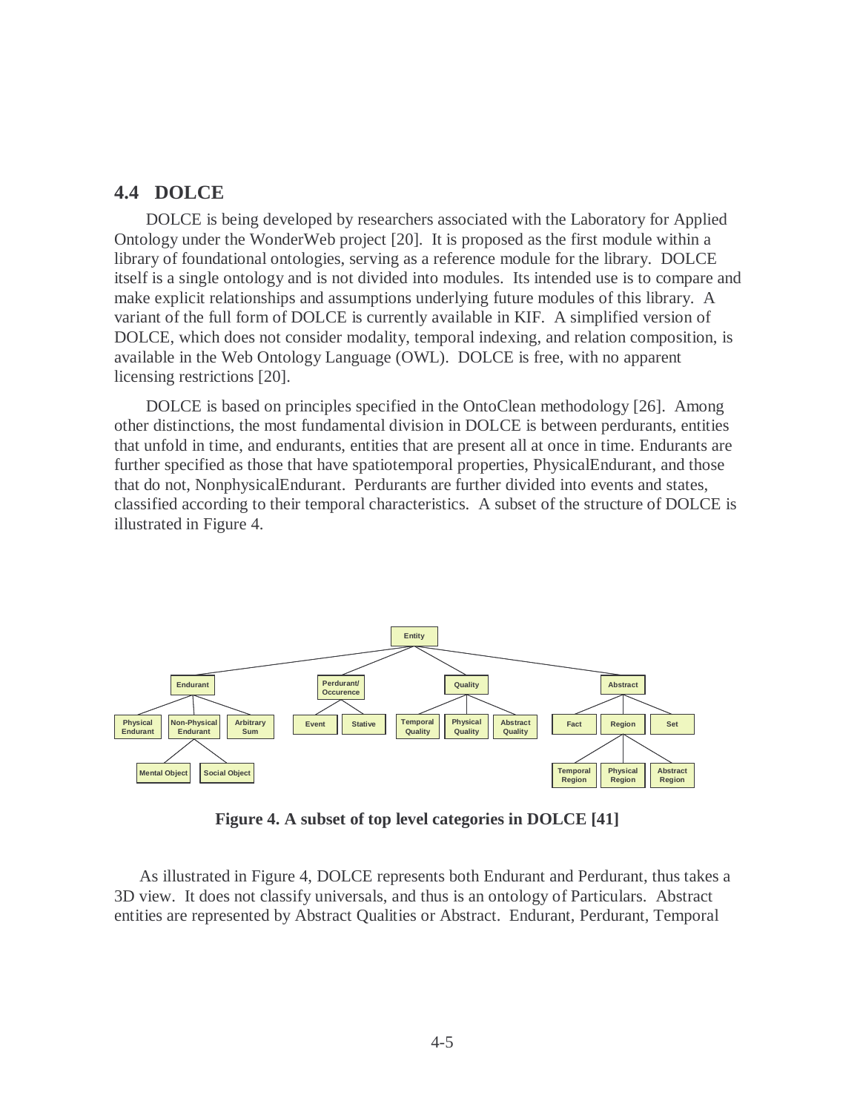### **4.4 DOLCE**

 DOLCE is being developed by researchers associated with the Laboratory for Applied Ontology under the WonderWeb project [20]. It is proposed as the first module within a library of foundational ontologies, serving as a reference module for the library. DOLCE itself is a single ontology and is not divided into modules. Its intended use is to compare and make explicit relationships and assumptions underlying future modules of this library. A variant of the full form of DOLCE is currently available in KIF. A simplified version of DOLCE, which does not consider modality, temporal indexing, and relation composition, is available in the Web Ontology Language (OWL). DOLCE is free, with no apparent licensing restrictions [20].

 DOLCE is based on principles specified in the OntoClean methodology [26]. Among other distinctions, the most fundamental division in DOLCE is between perdurants, entities that unfold in time, and endurants, entities that are present all at once in time. Endurants are further specified as those that have spatiotemporal properties, PhysicalEndurant, and those that do not, NonphysicalEndurant. Perdurants are further divided into events and states, classified according to their temporal characteristics. A subset of the structure of DOLCE is illustrated in Figure 4.



**Figure 4. A subset of top level categories in DOLCE [41]** 

As illustrated in Figure 4, DOLCE represents both Endurant and Perdurant, thus takes a 3D view. It does not classify universals, and thus is an ontology of Particulars. Abstract entities are represented by Abstract Qualities or Abstract. Endurant, Perdurant, Temporal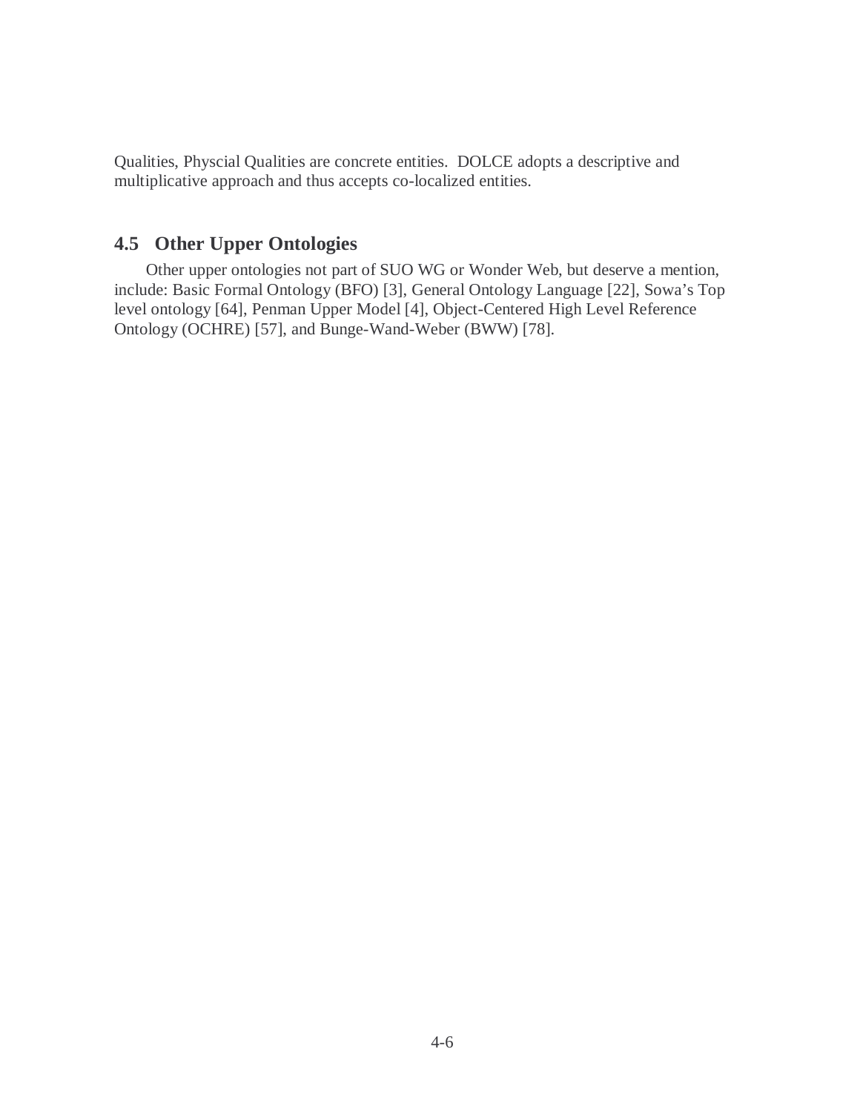Qualities, Physcial Qualities are concrete entities. DOLCE adopts a descriptive and multiplicative approach and thus accepts co-localized entities.

## **4.5 Other Upper Ontologies**

 Other upper ontologies not part of SUO WG or Wonder Web, but deserve a mention, include: Basic Formal Ontology (BFO) [3], General Ontology Language [22], Sowa's Top level ontology [64], Penman Upper Model [4], Object-Centered High Level Reference Ontology (OCHRE) [57], and Bunge-Wand-Weber (BWW) [78].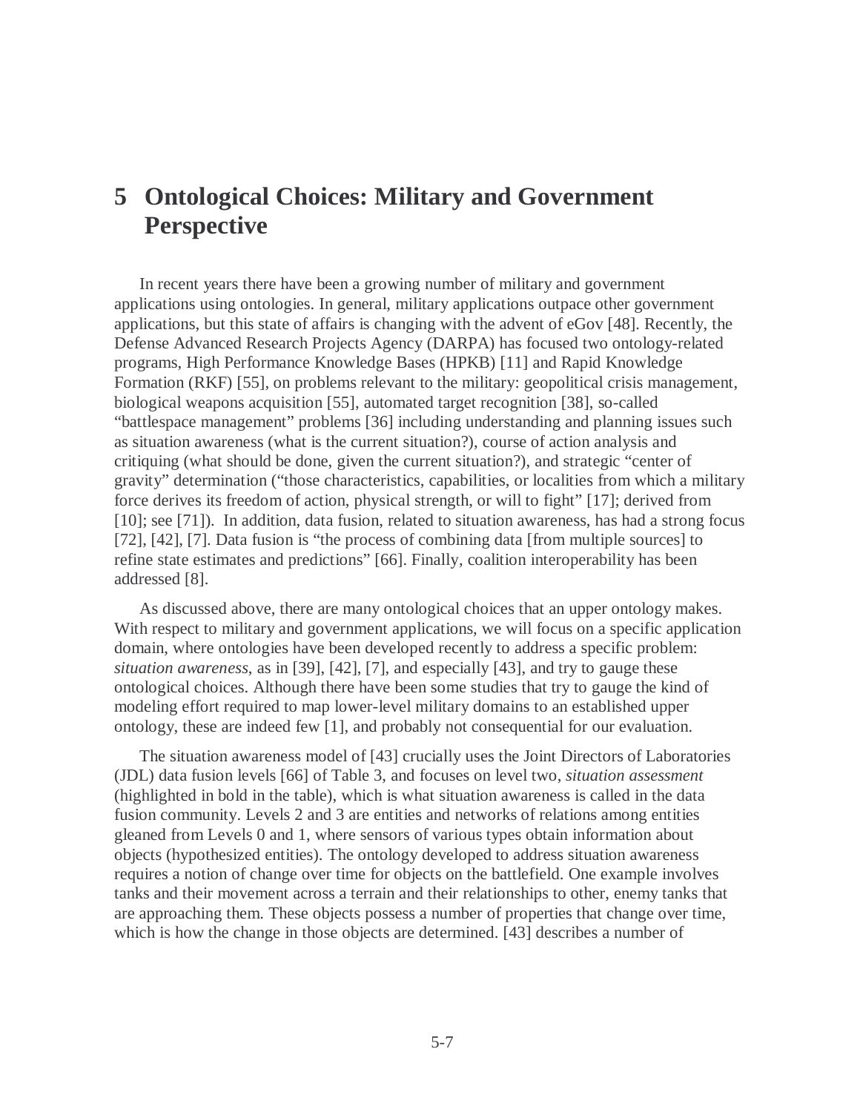# **5 Ontological Choices: Military and Government Perspective**

In recent years there have been a growing number of military and government applications using ontologies. In general, military applications outpace other government applications, but this state of affairs is changing with the advent of eGov [48]. Recently, the Defense Advanced Research Projects Agency (DARPA) has focused two ontology-related programs, High Performance Knowledge Bases (HPKB) [11] and Rapid Knowledge Formation (RKF) [55], on problems relevant to the military: geopolitical crisis management, biological weapons acquisition [55], automated target recognition [38], so-called "battlespace management" problems [36] including understanding and planning issues such as situation awareness (what is the current situation?), course of action analysis and critiquing (what should be done, given the current situation?), and strategic "center of gravity" determination ("those characteristics, capabilities, or localities from which a military force derives its freedom of action, physical strength, or will to fight" [17]; derived from [10]; see [71]). In addition, data fusion, related to situation awareness, has had a strong focus [72], [42], [7]. Data fusion is "the process of combining data [from multiple sources] to refine state estimates and predictions" [66]. Finally, coalition interoperability has been addressed [8].

As discussed above, there are many ontological choices that an upper ontology makes. With respect to military and government applications, we will focus on a specific application domain, where ontologies have been developed recently to address a specific problem: *situation awareness*, as in [39], [42], [7], and especially [43], and try to gauge these ontological choices. Although there have been some studies that try to gauge the kind of modeling effort required to map lower-level military domains to an established upper ontology, these are indeed few [1], and probably not consequential for our evaluation.

The situation awareness model of [43] crucially uses the Joint Directors of Laboratories (JDL) data fusion levels [66] of Table 3, and focuses on level two, *situation assessment*  (highlighted in bold in the table), which is what situation awareness is called in the data fusion community. Levels 2 and 3 are entities and networks of relations among entities gleaned from Levels 0 and 1, where sensors of various types obtain information about objects (hypothesized entities). The ontology developed to address situation awareness requires a notion of change over time for objects on the battlefield. One example involves tanks and their movement across a terrain and their relationships to other, enemy tanks that are approaching them. These objects possess a number of properties that change over time, which is how the change in those objects are determined. [43] describes a number of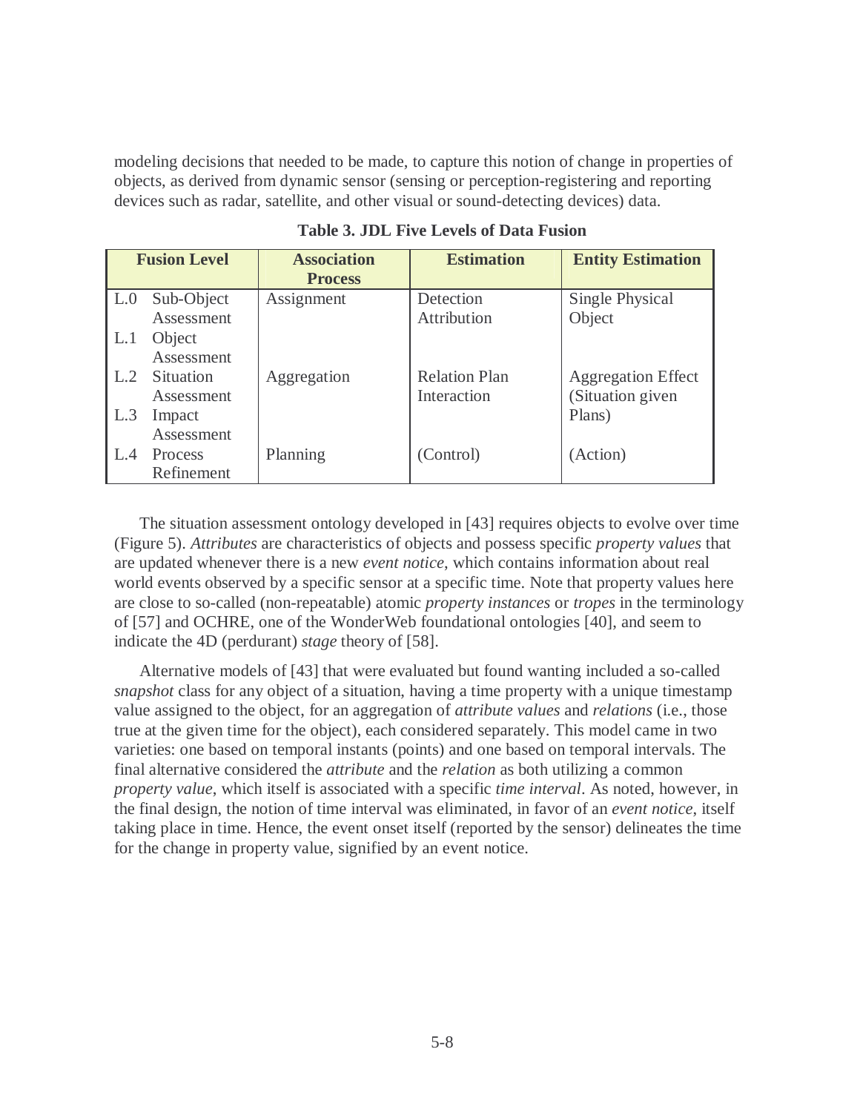modeling decisions that needed to be made, to capture this notion of change in properties of objects, as derived from dynamic sensor (sensing or perception-registering and reporting devices such as radar, satellite, and other visual or sound-detecting devices) data.

| <b>Fusion Level</b> |                          | <b>Association</b><br><b>Process</b> | <b>Estimation</b>                   | <b>Entity Estimation</b>                      |
|---------------------|--------------------------|--------------------------------------|-------------------------------------|-----------------------------------------------|
| L.0                 | Sub-Object<br>Assessment | Assignment                           | Detection<br>Attribution            | <b>Single Physical</b><br>Object              |
| L.1                 | Object<br>Assessment     |                                      |                                     |                                               |
| L2                  | Situation<br>Assessment  | Aggregation                          | <b>Relation Plan</b><br>Interaction | <b>Aggregation Effect</b><br>(Situation given |
| L.3                 | Impact<br>Assessment     |                                      |                                     | Plans)                                        |
| L.4                 | Process<br>Refinement    | Planning                             | (Control)                           | (Action)                                      |

**Table 3. JDL Five Levels of Data Fusion** 

The situation assessment ontology developed in [43] requires objects to evolve over time (Figure 5). *Attributes* are characteristics of objects and possess specific *property values* that are updated whenever there is a new *event notice*, which contains information about real world events observed by a specific sensor at a specific time. Note that property values here are close to so-called (non-repeatable) atomic *property instances* or *tropes* in the terminology of [57] and OCHRE, one of the WonderWeb foundational ontologies [40], and seem to indicate the 4D (perdurant) *stage* theory of [58].

Alternative models of [43] that were evaluated but found wanting included a so-called *snapshot* class for any object of a situation, having a time property with a unique timestamp value assigned to the object, for an aggregation of *attribute values* and *relations* (i.e., those true at the given time for the object), each considered separately. This model came in two varieties: one based on temporal instants (points) and one based on temporal intervals. The final alternative considered the *attribute* and the *relation* as both utilizing a common *property value*, which itself is associated with a specific *time interval*. As noted, however, in the final design, the notion of time interval was eliminated, in favor of an *event notice*, itself taking place in time. Hence, the event onset itself (reported by the sensor) delineates the time for the change in property value, signified by an event notice.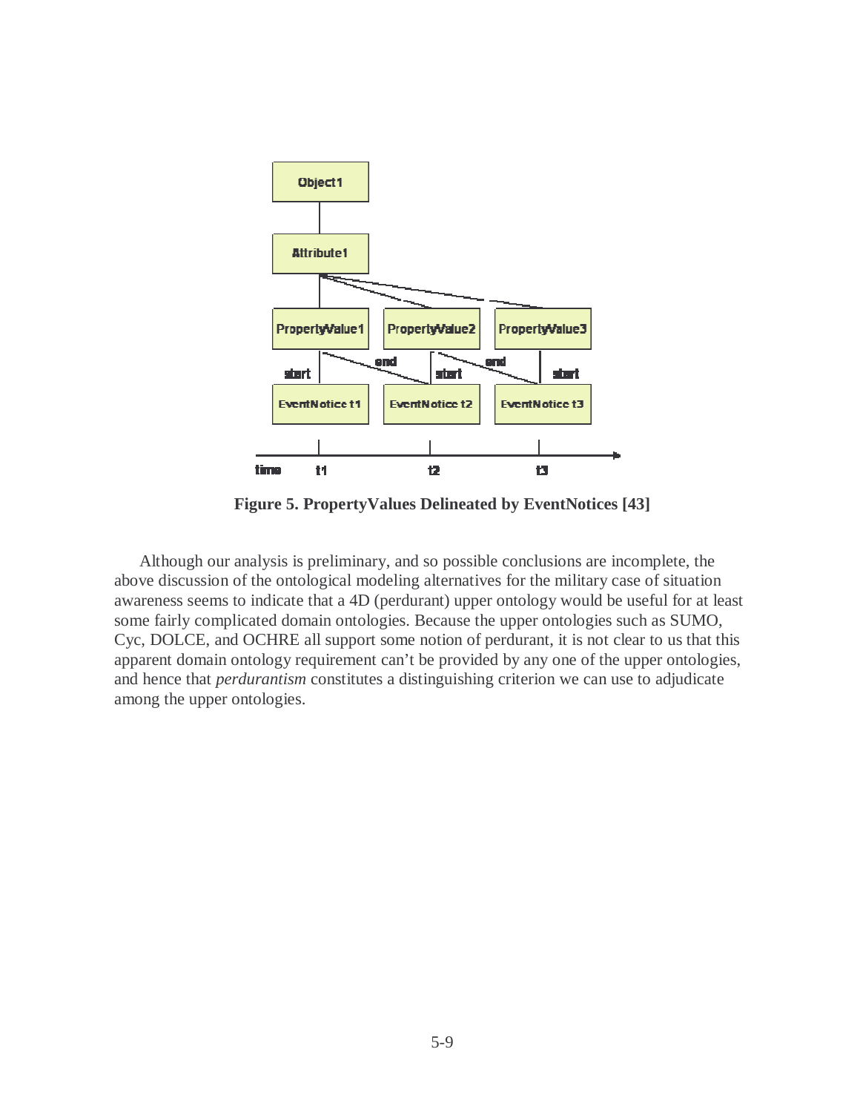

**Figure 5. PropertyValues Delineated by EventNotices [43]** 

Although our analysis is preliminary, and so possible conclusions are incomplete, the above discussion of the ontological modeling alternatives for the military case of situation awareness seems to indicate that a 4D (perdurant) upper ontology would be useful for at least some fairly complicated domain ontologies. Because the upper ontologies such as SUMO, Cyc, DOLCE, and OCHRE all support some notion of perdurant, it is not clear to us that this apparent domain ontology requirement can't be provided by any one of the upper ontologies, and hence that *perdurantism* constitutes a distinguishing criterion we can use to adjudicate among the upper ontologies.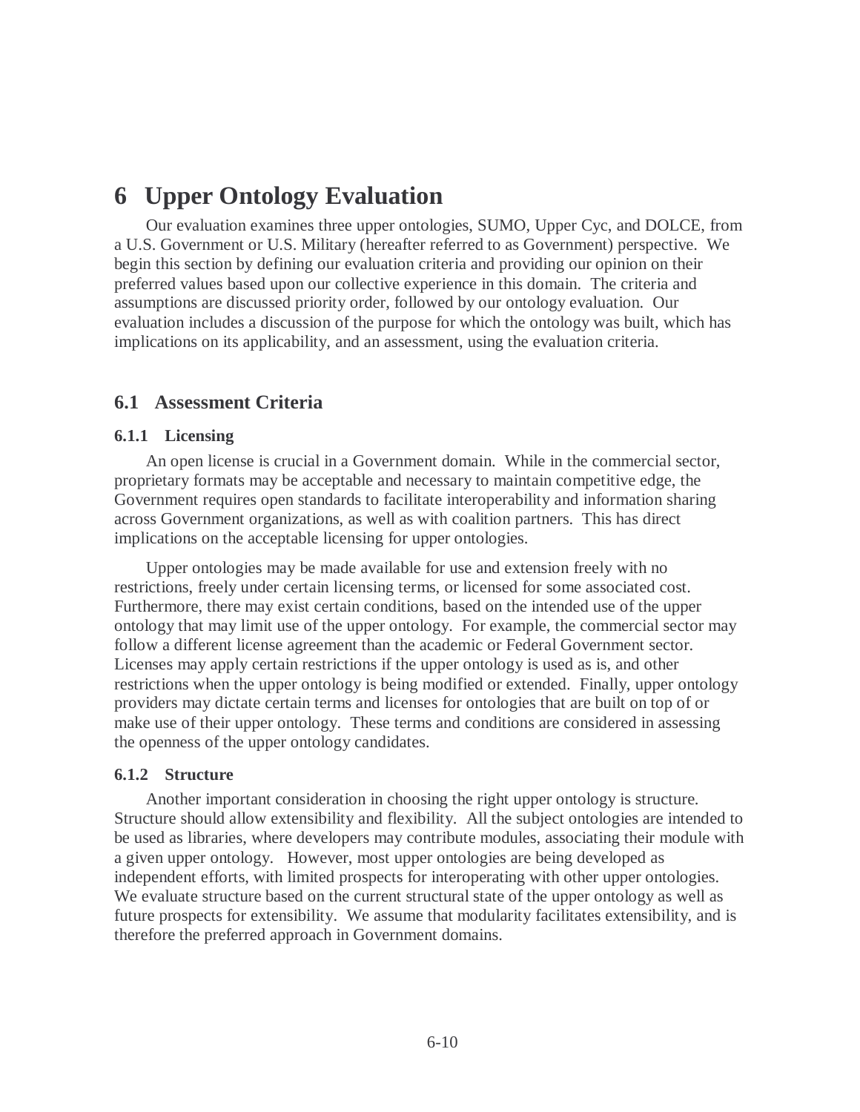# **6 Upper Ontology Evaluation**

Our evaluation examines three upper ontologies, SUMO, Upper Cyc, and DOLCE, from a U.S. Government or U.S. Military (hereafter referred to as Government) perspective. We begin this section by defining our evaluation criteria and providing our opinion on their preferred values based upon our collective experience in this domain. The criteria and assumptions are discussed priority order, followed by our ontology evaluation. Our evaluation includes a discussion of the purpose for which the ontology was built, which has implications on its applicability, and an assessment, using the evaluation criteria.

### **6.1 Assessment Criteria**

#### **6.1.1 Licensing**

An open license is crucial in a Government domain. While in the commercial sector, proprietary formats may be acceptable and necessary to maintain competitive edge, the Government requires open standards to facilitate interoperability and information sharing across Government organizations, as well as with coalition partners. This has direct implications on the acceptable licensing for upper ontologies.

Upper ontologies may be made available for use and extension freely with no restrictions, freely under certain licensing terms, or licensed for some associated cost. Furthermore, there may exist certain conditions, based on the intended use of the upper ontology that may limit use of the upper ontology. For example, the commercial sector may follow a different license agreement than the academic or Federal Government sector. Licenses may apply certain restrictions if the upper ontology is used as is, and other restrictions when the upper ontology is being modified or extended. Finally, upper ontology providers may dictate certain terms and licenses for ontologies that are built on top of or make use of their upper ontology. These terms and conditions are considered in assessing the openness of the upper ontology candidates.

#### **6.1.2 Structure**

Another important consideration in choosing the right upper ontology is structure. Structure should allow extensibility and flexibility. All the subject ontologies are intended to be used as libraries, where developers may contribute modules, associating their module with a given upper ontology. However, most upper ontologies are being developed as independent efforts, with limited prospects for interoperating with other upper ontologies. We evaluate structure based on the current structural state of the upper ontology as well as future prospects for extensibility. We assume that modularity facilitates extensibility, and is therefore the preferred approach in Government domains.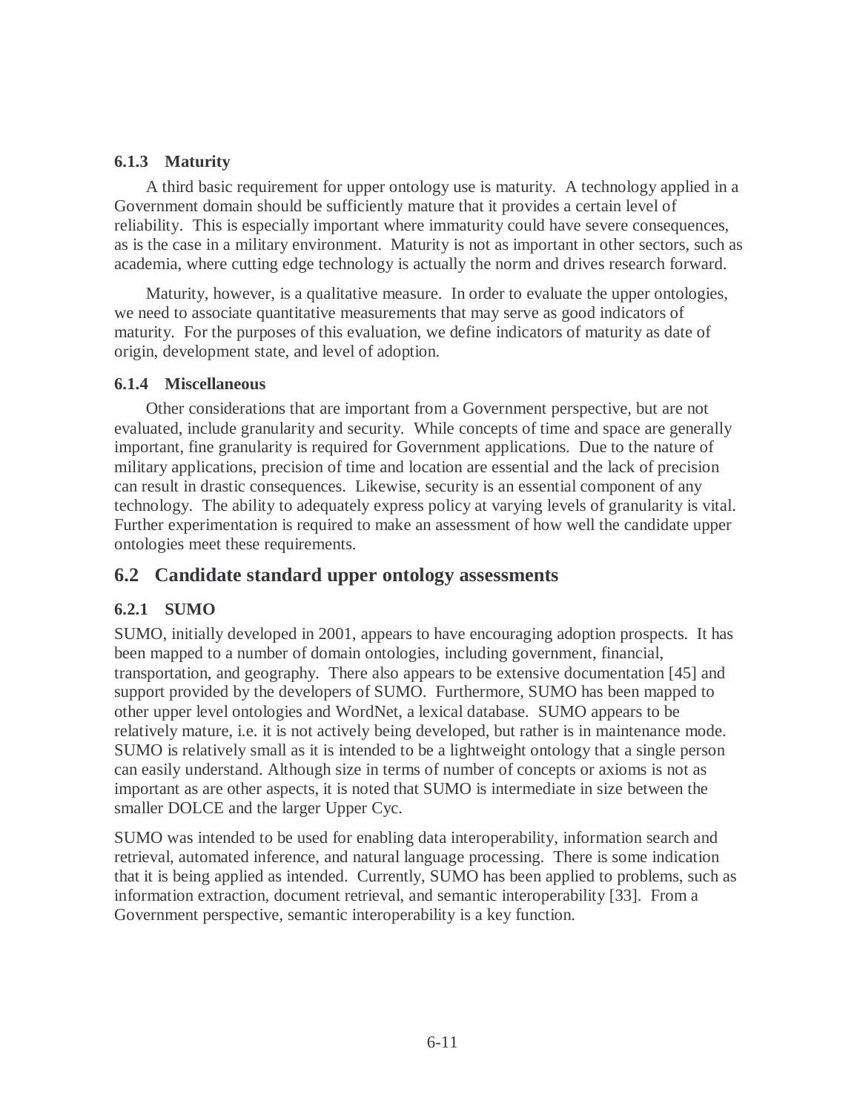### **6.1.3 Maturity**

A third basic requirement for upper ontology use is maturity. A technology applied in a Government domain should be sufficiently mature that it provides a certain level of reliability. This is especially important where immaturity could have severe consequences, as is the case in a military environment. Maturity is not as important in other sectors, such as academia, where cutting edge technology is actually the norm and drives research forward.

Maturity, however, is a qualitative measure. In order to evaluate the upper ontologies, we need to associate quantitative measurements that may serve as good indicators of maturity. For the purposes of this evaluation, we define indicators of maturity as date of origin, development state, and level of adoption.

### **6.1.4 Miscellaneous**

Other considerations that are important from a Government perspective, but are not evaluated, include granularity and security. While concepts of time and space are generally important, fine granularity is required for Government applications. Due to the nature of military applications, precision of time and location are essential and the lack of precision can result in drastic consequences. Likewise, security is an essential component of any technology. The ability to adequately express policy at varying levels of granularity is vital. Further experimentation is required to make an assessment of how well the candidate upper ontologies meet these requirements.

## **6.2 Candidate standard upper ontology assessments**

## **6.2.1 SUMO**

SUMO, initially developed in 2001, appears to have encouraging adoption prospects. It has been mapped to a number of domain ontologies, including government, financial, transportation, and geography. There also appears to be extensive documentation [45] and support provided by the developers of SUMO. Furthermore, SUMO has been mapped to other upper level ontologies and WordNet, a lexical database. SUMO appears to be relatively mature, i.e. it is not actively being developed, but rather is in maintenance mode. SUMO is relatively small as it is intended to be a lightweight ontology that a single person can easily understand. Although size in terms of number of concepts or axioms is not as important as are other aspects, it is noted that SUMO is intermediate in size between the smaller DOLCE and the larger Upper Cyc.

SUMO was intended to be used for enabling data interoperability, information search and retrieval, automated inference, and natural language processing. There is some indication that it is being applied as intended. Currently, SUMO has been applied to problems, such as information extraction, document retrieval, and semantic interoperability [33]. From a Government perspective, semantic interoperability is a key function.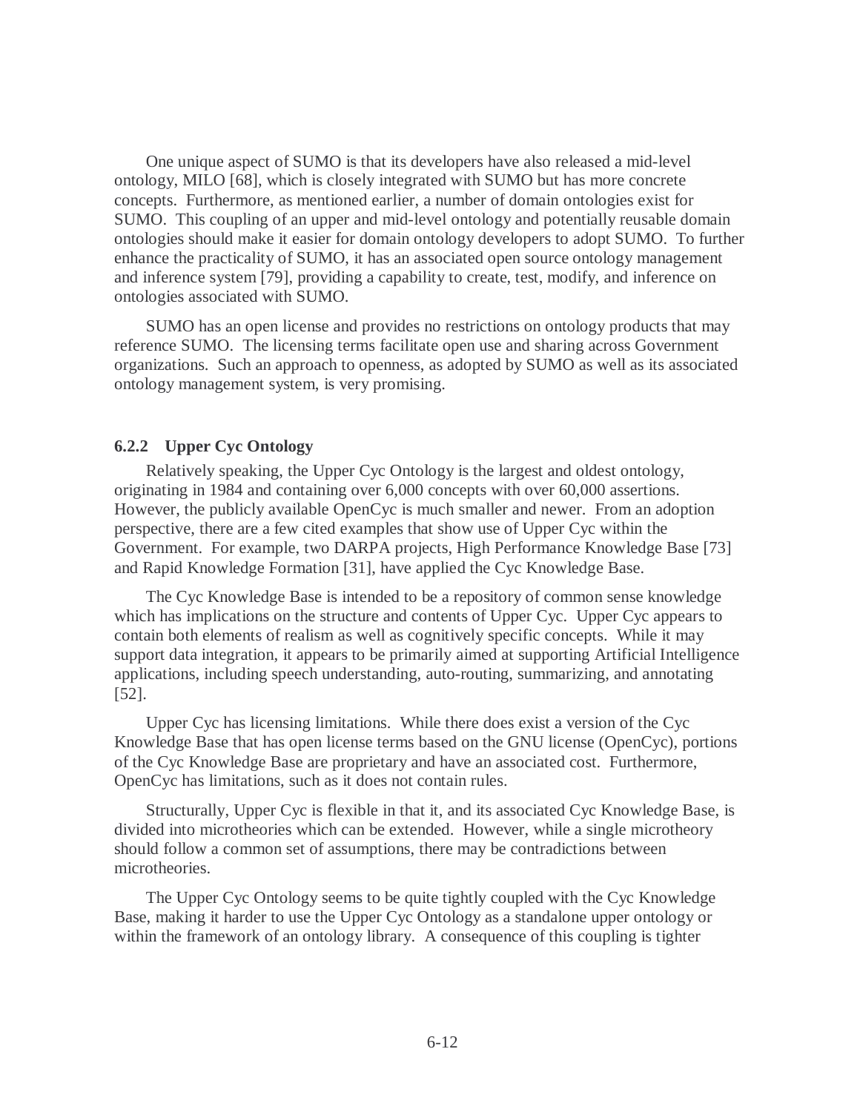One unique aspect of SUMO is that its developers have also released a mid-level ontology, MILO [68], which is closely integrated with SUMO but has more concrete concepts. Furthermore, as mentioned earlier, a number of domain ontologies exist for SUMO. This coupling of an upper and mid-level ontology and potentially reusable domain ontologies should make it easier for domain ontology developers to adopt SUMO. To further enhance the practicality of SUMO, it has an associated open source ontology management and inference system [79], providing a capability to create, test, modify, and inference on ontologies associated with SUMO.

SUMO has an open license and provides no restrictions on ontology products that may reference SUMO. The licensing terms facilitate open use and sharing across Government organizations. Such an approach to openness, as adopted by SUMO as well as its associated ontology management system, is very promising.

#### **6.2.2 Upper Cyc Ontology**

Relatively speaking, the Upper Cyc Ontology is the largest and oldest ontology, originating in 1984 and containing over 6,000 concepts with over 60,000 assertions. However, the publicly available OpenCyc is much smaller and newer. From an adoption perspective, there are a few cited examples that show use of Upper Cyc within the Government. For example, two DARPA projects, High Performance Knowledge Base [73] and Rapid Knowledge Formation [31], have applied the Cyc Knowledge Base.

The Cyc Knowledge Base is intended to be a repository of common sense knowledge which has implications on the structure and contents of Upper Cyc. Upper Cyc appears to contain both elements of realism as well as cognitively specific concepts. While it may support data integration, it appears to be primarily aimed at supporting Artificial Intelligence applications, including speech understanding, auto-routing, summarizing, and annotating [52].

Upper Cyc has licensing limitations. While there does exist a version of the Cyc Knowledge Base that has open license terms based on the GNU license (OpenCyc), portions of the Cyc Knowledge Base are proprietary and have an associated cost. Furthermore, OpenCyc has limitations, such as it does not contain rules.

Structurally, Upper Cyc is flexible in that it, and its associated Cyc Knowledge Base, is divided into microtheories which can be extended. However, while a single microtheory should follow a common set of assumptions, there may be contradictions between microtheories.

The Upper Cyc Ontology seems to be quite tightly coupled with the Cyc Knowledge Base, making it harder to use the Upper Cyc Ontology as a standalone upper ontology or within the framework of an ontology library. A consequence of this coupling is tighter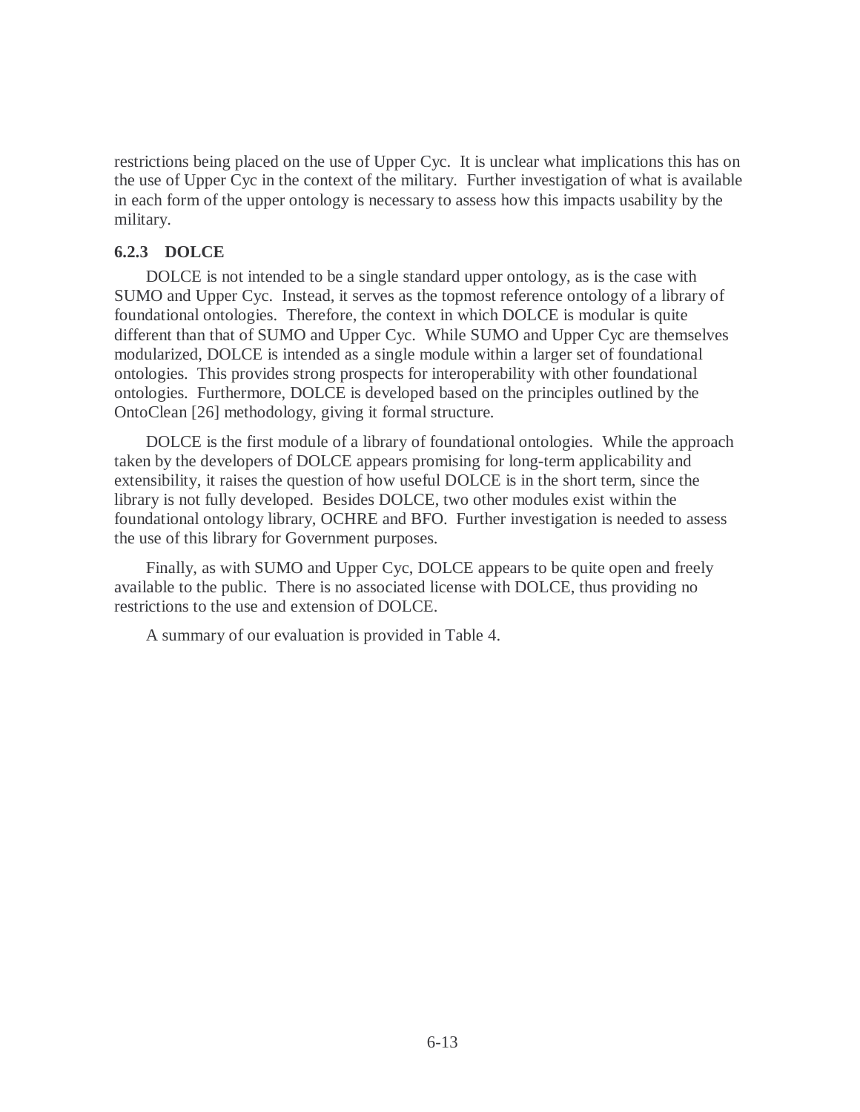restrictions being placed on the use of Upper Cyc. It is unclear what implications this has on the use of Upper Cyc in the context of the military. Further investigation of what is available in each form of the upper ontology is necessary to assess how this impacts usability by the military.

#### **6.2.3 DOLCE**

DOLCE is not intended to be a single standard upper ontology, as is the case with SUMO and Upper Cyc. Instead, it serves as the topmost reference ontology of a library of foundational ontologies. Therefore, the context in which DOLCE is modular is quite different than that of SUMO and Upper Cyc. While SUMO and Upper Cyc are themselves modularized, DOLCE is intended as a single module within a larger set of foundational ontologies. This provides strong prospects for interoperability with other foundational ontologies. Furthermore, DOLCE is developed based on the principles outlined by the OntoClean [26] methodology, giving it formal structure.

DOLCE is the first module of a library of foundational ontologies. While the approach taken by the developers of DOLCE appears promising for long-term applicability and extensibility, it raises the question of how useful DOLCE is in the short term, since the library is not fully developed. Besides DOLCE, two other modules exist within the foundational ontology library, OCHRE and BFO. Further investigation is needed to assess the use of this library for Government purposes.

Finally, as with SUMO and Upper Cyc, DOLCE appears to be quite open and freely available to the public. There is no associated license with DOLCE, thus providing no restrictions to the use and extension of DOLCE.

A summary of our evaluation is provided in Table 4.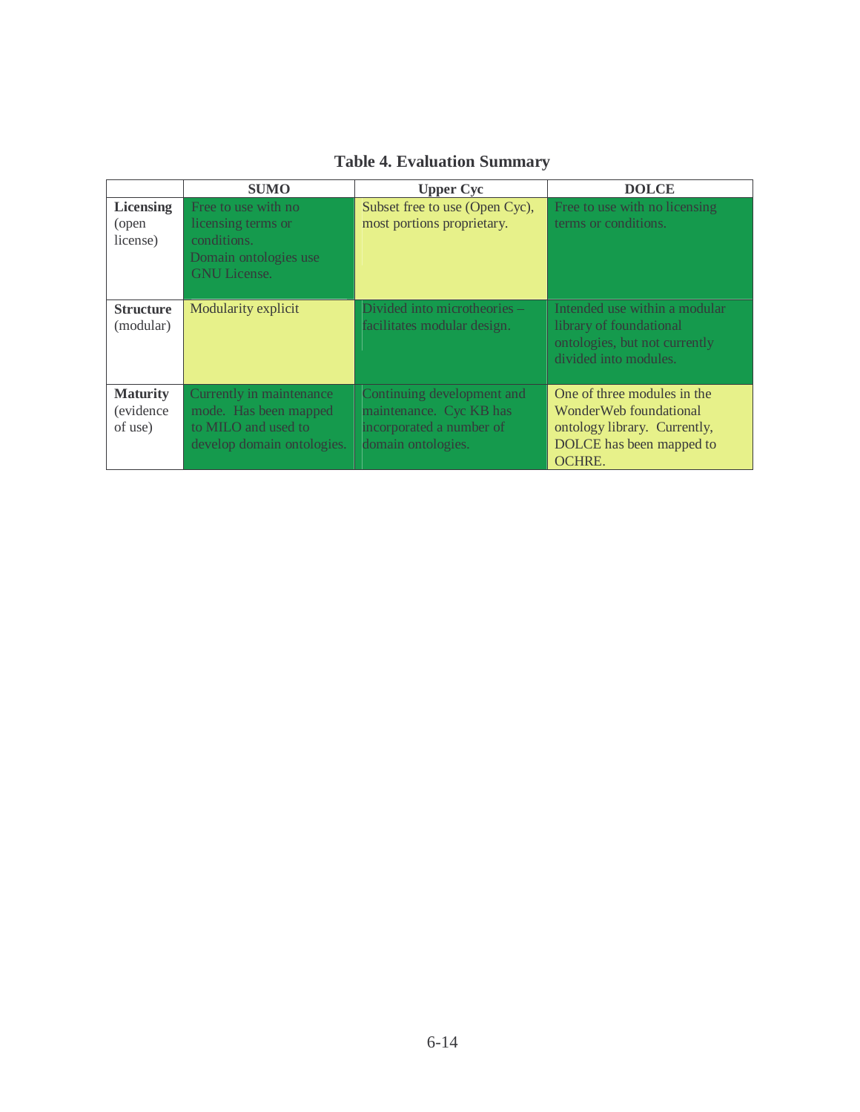|                   | <b>SUMO</b>                | <b>Upper Cyc</b>               | <b>DOLCE</b>                  |
|-------------------|----------------------------|--------------------------------|-------------------------------|
| <b>Licensing</b>  | Free to use with no        | Subset free to use (Open Cyc), | Free to use with no licensing |
| (open)            | licensing terms or         | most portions proprietary.     | terms or conditions.          |
| license)          | conditions.                |                                |                               |
|                   |                            |                                |                               |
|                   | Domain ontologies use      |                                |                               |
|                   | <b>GNU</b> License.        |                                |                               |
|                   |                            |                                |                               |
| <b>Structure</b>  | Modularity explicit        | Divided into microtheories –   | Intended use within a modular |
| (modular)         |                            | facilitates modular design.    | library of foundational       |
|                   |                            |                                |                               |
|                   |                            |                                | ontologies, but not currently |
|                   |                            |                                | divided into modules.         |
|                   |                            |                                |                               |
| <b>Maturity</b>   | Currently in maintenance   | Continuing development and     | One of three modules in the   |
| <i>(evidence)</i> | mode. Has been mapped      | maintenance. Cyc KB has        | Wonder Web foundational       |
|                   | to MILO and used to        | incorporated a number of       |                               |
| of use)           |                            |                                | ontology library. Currently,  |
|                   | develop domain ontologies. | domain ontologies.             | DOLCE has been mapped to      |
|                   |                            |                                | <b>OCHRE.</b>                 |

## **Table 4. Evaluation Summary**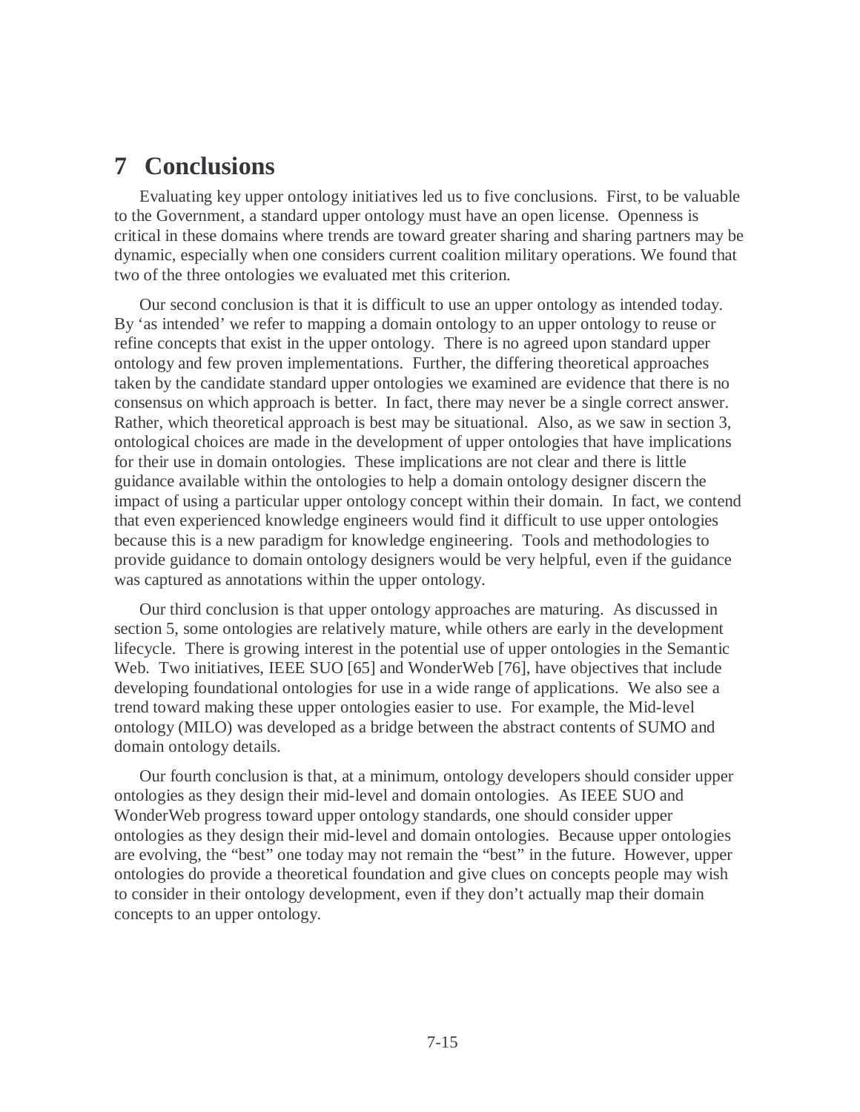# **7 Conclusions**

Evaluating key upper ontology initiatives led us to five conclusions. First, to be valuable to the Government, a standard upper ontology must have an open license. Openness is critical in these domains where trends are toward greater sharing and sharing partners may be dynamic, especially when one considers current coalition military operations. We found that two of the three ontologies we evaluated met this criterion.

Our second conclusion is that it is difficult to use an upper ontology as intended today. By 'as intended' we refer to mapping a domain ontology to an upper ontology to reuse or refine concepts that exist in the upper ontology. There is no agreed upon standard upper ontology and few proven implementations. Further, the differing theoretical approaches taken by the candidate standard upper ontologies we examined are evidence that there is no consensus on which approach is better. In fact, there may never be a single correct answer. Rather, which theoretical approach is best may be situational. Also, as we saw in section 3, ontological choices are made in the development of upper ontologies that have implications for their use in domain ontologies. These implications are not clear and there is little guidance available within the ontologies to help a domain ontology designer discern the impact of using a particular upper ontology concept within their domain. In fact, we contend that even experienced knowledge engineers would find it difficult to use upper ontologies because this is a new paradigm for knowledge engineering. Tools and methodologies to provide guidance to domain ontology designers would be very helpful, even if the guidance was captured as annotations within the upper ontology.

Our third conclusion is that upper ontology approaches are maturing. As discussed in section 5, some ontologies are relatively mature, while others are early in the development lifecycle. There is growing interest in the potential use of upper ontologies in the Semantic Web. Two initiatives, IEEE SUO [65] and WonderWeb [76], have objectives that include developing foundational ontologies for use in a wide range of applications. We also see a trend toward making these upper ontologies easier to use. For example, the Mid-level ontology (MILO) was developed as a bridge between the abstract contents of SUMO and domain ontology details.

Our fourth conclusion is that, at a minimum, ontology developers should consider upper ontologies as they design their mid-level and domain ontologies. As IEEE SUO and WonderWeb progress toward upper ontology standards, one should consider upper ontologies as they design their mid-level and domain ontologies. Because upper ontologies are evolving, the "best" one today may not remain the "best" in the future. However, upper ontologies do provide a theoretical foundation and give clues on concepts people may wish to consider in their ontology development, even if they don't actually map their domain concepts to an upper ontology.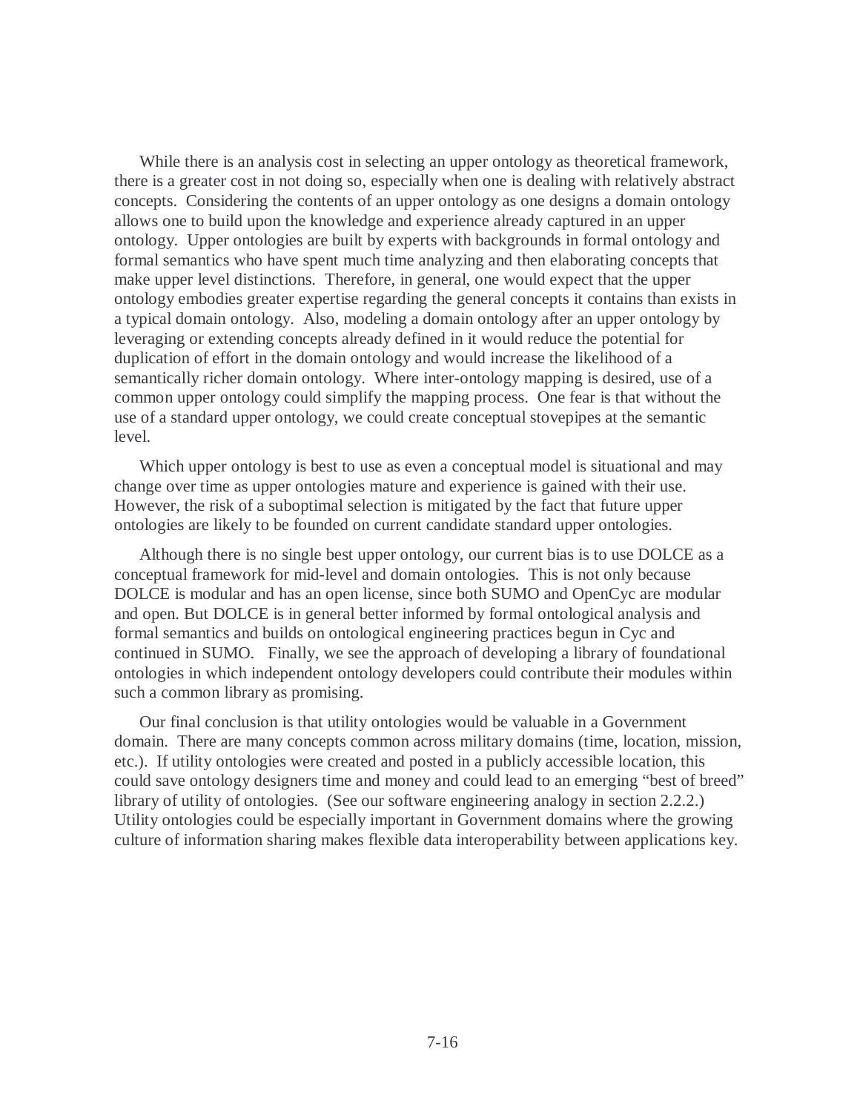While there is an analysis cost in selecting an upper ontology as theoretical framework, there is a greater cost in not doing so, especially when one is dealing with relatively abstract concepts. Considering the contents of an upper ontology as one designs a domain ontology allows one to build upon the knowledge and experience already captured in an upper ontology. Upper ontologies are built by experts with backgrounds in formal ontology and formal semantics who have spent much time analyzing and then elaborating concepts that make upper level distinctions. Therefore, in general, one would expect that the upper ontology embodies greater expertise regarding the general concepts it contains than exists in a typical domain ontology. Also, modeling a domain ontology after an upper ontology by leveraging or extending concepts already defined in it would reduce the potential for duplication of effort in the domain ontology and would increase the likelihood of a semantically richer domain ontology. Where inter-ontology mapping is desired, use of a common upper ontology could simplify the mapping process. One fear is that without the use of a standard upper ontology, we could create conceptual stovepipes at the semantic level.

Which upper ontology is best to use as even a conceptual model is situational and may change over time as upper ontologies mature and experience is gained with their use. However, the risk of a suboptimal selection is mitigated by the fact that future upper ontologies are likely to be founded on current candidate standard upper ontologies.

Although there is no single best upper ontology, our current bias is to use DOLCE as a conceptual framework for mid-level and domain ontologies. This is not only because DOLCE is modular and has an open license, since both SUMO and OpenCyc are modular and open. But DOLCE is in general better informed by formal ontological analysis and formal semantics and builds on ontological engineering practices begun in Cyc and continued in SUMO. Finally, we see the approach of developing a library of foundational ontologies in which independent ontology developers could contribute their modules within such a common library as promising.

Our final conclusion is that utility ontologies would be valuable in a Government domain. There are many concepts common across military domains (time, location, mission, etc.). If utility ontologies were created and posted in a publicly accessible location, this could save ontology designers time and money and could lead to an emerging "best of breed" library of utility of ontologies. (See our software engineering analogy in section 2.2.2.) Utility ontologies could be especially important in Government domains where the growing culture of information sharing makes flexible data interoperability between applications key.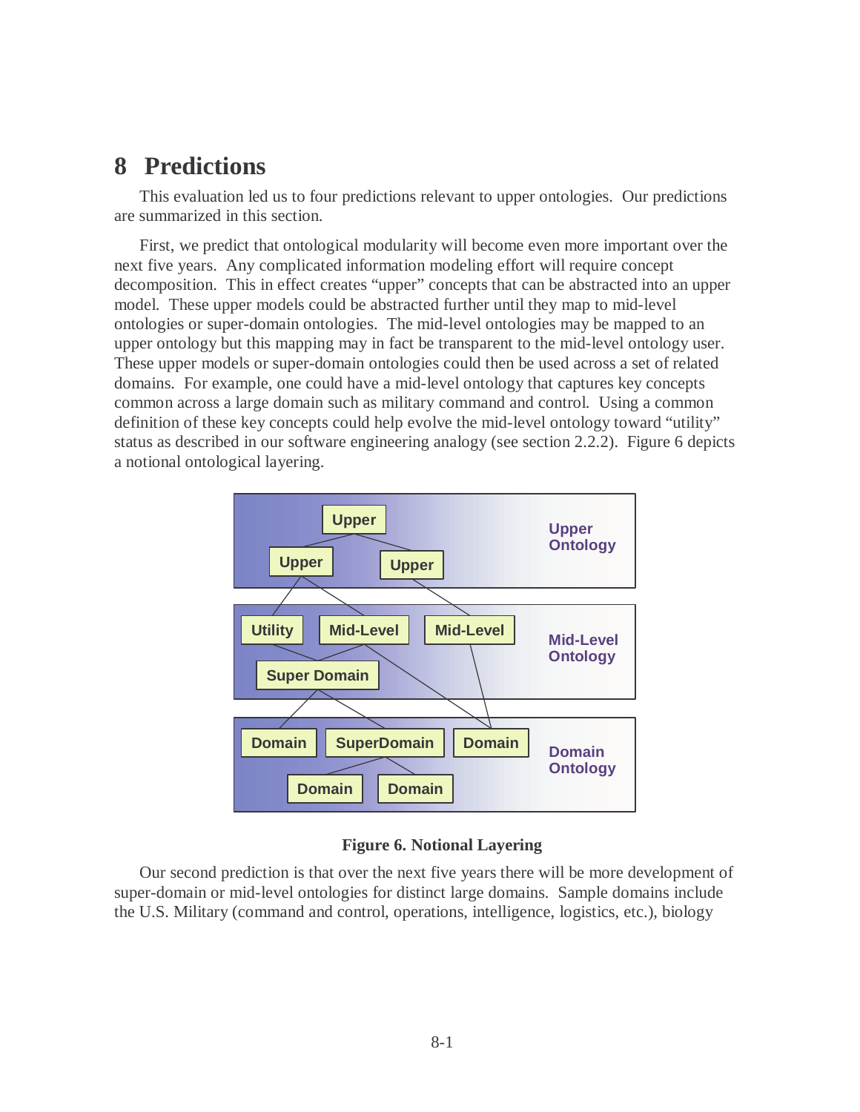# **8 Predictions**

This evaluation led us to four predictions relevant to upper ontologies. Our predictions are summarized in this section.

First, we predict that ontological modularity will become even more important over the next five years. Any complicated information modeling effort will require concept decomposition. This in effect creates "upper" concepts that can be abstracted into an upper model. These upper models could be abstracted further until they map to mid-level ontologies or super-domain ontologies. The mid-level ontologies may be mapped to an upper ontology but this mapping may in fact be transparent to the mid-level ontology user. These upper models or super-domain ontologies could then be used across a set of related domains. For example, one could have a mid-level ontology that captures key concepts common across a large domain such as military command and control. Using a common definition of these key concepts could help evolve the mid-level ontology toward "utility" status as described in our software engineering analogy (see section 2.2.2). Figure 6 depicts a notional ontological layering.



#### **Figure 6. Notional Layering**

Our second prediction is that over the next five years there will be more development of super-domain or mid-level ontologies for distinct large domains. Sample domains include the U.S. Military (command and control, operations, intelligence, logistics, etc.), biology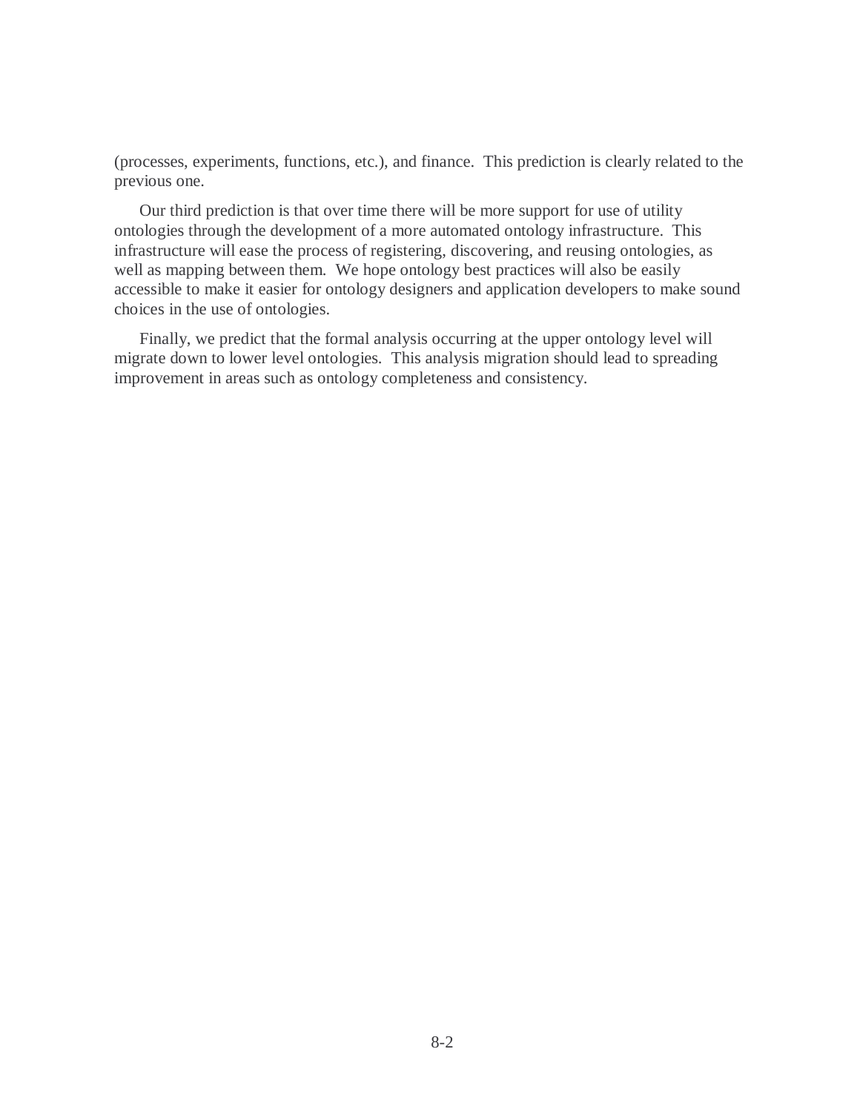(processes, experiments, functions, etc.), and finance. This prediction is clearly related to the previous one.

Our third prediction is that over time there will be more support for use of utility ontologies through the development of a more automated ontology infrastructure. This infrastructure will ease the process of registering, discovering, and reusing ontologies, as well as mapping between them. We hope ontology best practices will also be easily accessible to make it easier for ontology designers and application developers to make sound choices in the use of ontologies.

Finally, we predict that the formal analysis occurring at the upper ontology level will migrate down to lower level ontologies. This analysis migration should lead to spreading improvement in areas such as ontology completeness and consistency.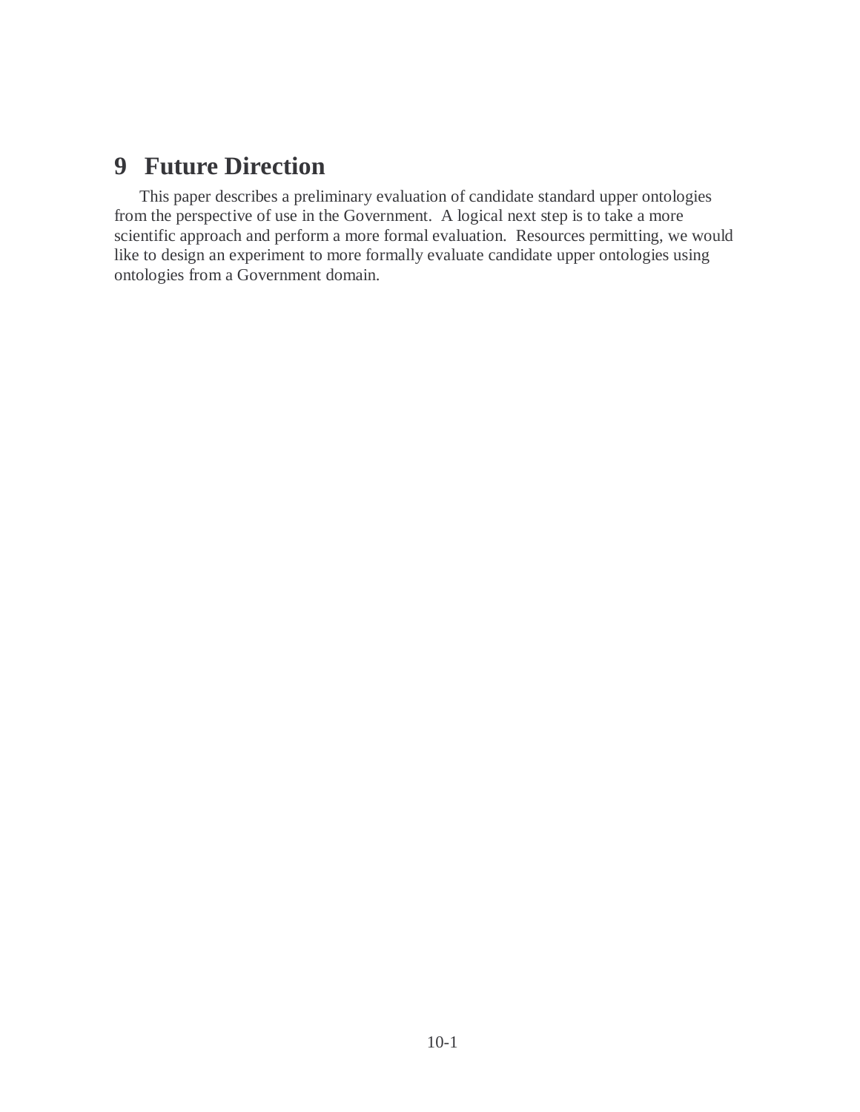# **9 Future Direction**

This paper describes a preliminary evaluation of candidate standard upper ontologies from the perspective of use in the Government. A logical next step is to take a more scientific approach and perform a more formal evaluation. Resources permitting, we would like to design an experiment to more formally evaluate candidate upper ontologies using ontologies from a Government domain.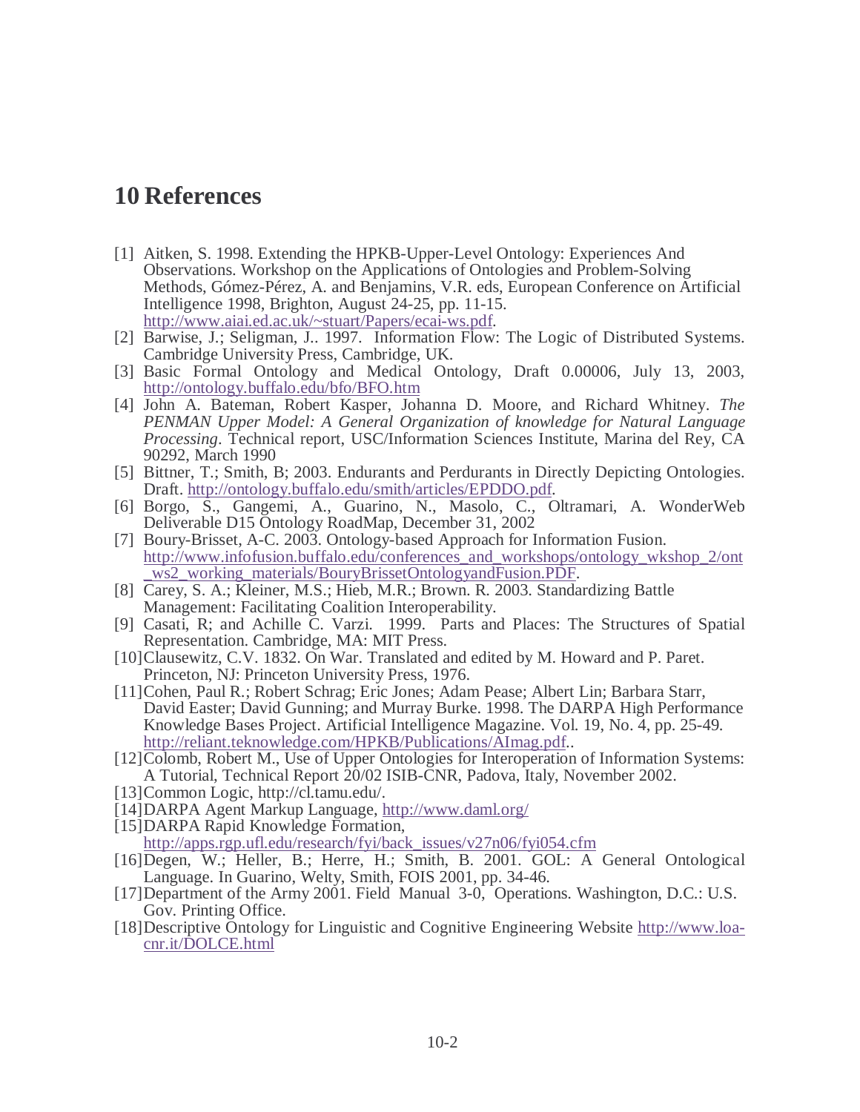# **10 References**

- [1] Aitken, S. 1998. Extending the HPKB-Upper-Level Ontology: Experiences And Observations. Workshop on the Applications of Ontologies and Problem-Solving Methods, Gómez-Pérez, A. and Benjamins, V.R. eds, European Conference on Artificial Intelligence 1998, Brighton, August 24-25, pp. 11-15. http://www.aiai.ed.ac.uk/~stuart/Papers/ecai-ws.pdf.
- [2] Barwise, J.; Seligman, J.. 1997. Information Flow: The Logic of Distributed Systems. Cambridge University Press, Cambridge, UK.
- [3] Basic Formal Ontology and Medical Ontology, Draft 0.00006, July 13, 2003, http://ontology.buffalo.edu/bfo/BFO.htm
- [4] John A. Bateman, Robert Kasper, Johanna D. Moore, and Richard Whitney. *The PENMAN Upper Model: A General Organization of knowledge for Natural Language Processing*. Technical report, USC/Information Sciences Institute, Marina del Rey, CA 90292, March 1990
- [5] Bittner, T.; Smith, B; 2003. Endurants and Perdurants in Directly Depicting Ontologies. Draft. http://ontology.buffalo.edu/smith/articles/EPDDO.pdf.
- [6] Borgo, S., Gangemi, A., Guarino, N., Masolo, C., Oltramari, A. WonderWeb Deliverable D15 Ontology RoadMap, December 31, 2002
- [7] Boury-Brisset, A-C. 2003. Ontology-based Approach for Information Fusion. http://www.infofusion.buffalo.edu/conferences\_and\_workshops/ontology\_wkshop\_2/ont ws2 working materials/BouryBrissetOntologyandFusion.PDF.
- [8] Carey, S. A.; Kleiner, M.S.; Hieb, M.R.; Brown. R. 2003. Standardizing Battle Management: Facilitating Coalition Interoperability.
- [9] Casati, R; and Achille C. Varzi. 1999. Parts and Places: The Structures of Spatial Representation. Cambridge, MA: MIT Press.
- [10]Clausewitz, C.V. 1832. On War. Translated and edited by M. Howard and P. Paret. Princeton, NJ: Princeton University Press, 1976.
- [11]Cohen, Paul R.; Robert Schrag; Eric Jones; Adam Pease; Albert Lin; Barbara Starr, David Easter; David Gunning; and Murray Burke. 1998. The DARPA High Performance Knowledge Bases Project. Artificial Intelligence Magazine. Vol. 19, No. 4, pp. 25-49. http://reliant.teknowledge.com/HPKB/Publications/AImag.pdf..
- [12]Colomb, Robert M., Use of Upper Ontologies for Interoperation of Information Systems: A Tutorial, Technical Report 20/02 ISIB-CNR, Padova, Italy, November 2002.
- [13]Common Logic, http://cl.tamu.edu/.
- [14]DARPA Agent Markup Language, http://www.daml.org/
- [15]DARPA Rapid Knowledge Formation, http://apps.rgp.ufl.edu/research/fyi/back\_issues/v27n06/fyi054.cfm
- [16]Degen, W.; Heller, B.; Herre, H.; Smith, B. 2001. GOL: A General Ontological Language. In Guarino, Welty, Smith, FOIS 2001, pp. 34-46.
- [17]Department of the Army 2001. Field Manual 3-0, Operations. Washington, D.C.: U.S. Gov. Printing Office.
- [18]Descriptive Ontology for Linguistic and Cognitive Engineering Website http://www.loacnr.it/DOLCE.html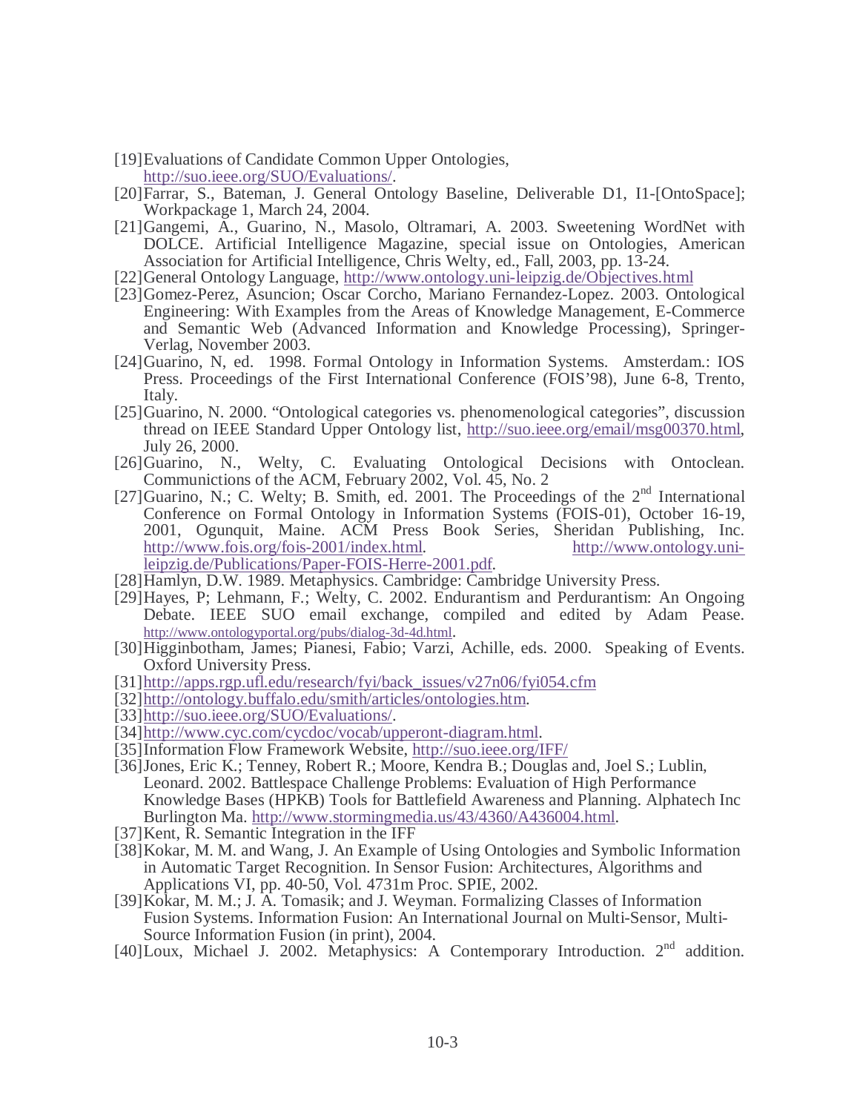[19]Evaluations of Candidate Common Upper Ontologies, http://suo.ieee.org/SUO/Evaluations/.

- [20]Farrar, S., Bateman, J. General Ontology Baseline, Deliverable D1, I1-[OntoSpace]; Workpackage 1, March 24, 2004.
- [21]Gangemi, A., Guarino, N., Masolo, Oltramari, A. 2003. Sweetening WordNet with DOLCE. Artificial Intelligence Magazine, special issue on Ontologies, American Association for Artificial Intelligence, Chris Welty, ed., Fall, 2003, pp. 13-24.
- [22]General Ontology Language, http://www.ontology.uni-leipzig.de/Objectives.html
- [23]Gomez-Perez, Asuncion; Oscar Corcho, Mariano Fernandez-Lopez. 2003. Ontological Engineering: With Examples from the Areas of Knowledge Management, E-Commerce and Semantic Web (Advanced Information and Knowledge Processing), Springer-Verlag, November 2003.
- [24]Guarino, N, ed. 1998. Formal Ontology in Information Systems. Amsterdam.: IOS Press. Proceedings of the First International Conference (FOIS'98), June 6-8, Trento, Italy.
- [25]Guarino, N. 2000. "Ontological categories vs. phenomenological categories", discussion thread on IEEE Standard Upper Ontology list, http://suo.ieee.org/email/msg00370.html, July 26, 2000.
- [26]Guarino, N., Welty, C. Evaluating Ontological Decisions with Ontoclean. Communictions of the ACM, February 2002, Vol. 45, No. 2
- [27]Guarino, N.; C. Welty; B. Smith, ed. 2001. The Proceedings of the  $2<sup>nd</sup>$  International Conference on Formal Ontology in Information Systems (FOIS-01), October 16-19, 2001, Ogunquit, Maine. ACM Press Book Series, Sheridan Publishing, Inc. http://www.fois.org/fois-2001/index.html. http://www.ontology.unileipzig.de/Publications/Paper-FOIS-Herre-2001.pdf.
- [28]Hamlyn, D.W. 1989. Metaphysics. Cambridge: Cambridge University Press.
- [29]Hayes, P; Lehmann, F.; Welty, C. 2002. Endurantism and Perdurantism: An Ongoing Debate. IEEE SUO email exchange, compiled and edited by Adam Pease. http://www.ontologyportal.org/pubs/dialog-3d-4d.html.
- [30] Higginbotham, James; Pianesi, Fabio; Varzi, Achille, eds. 2000. Speaking of Events. Oxford University Press.
- [31]http://apps.rgp.ufl.edu/research/fyi/back\_issues/v27n06/fyi054.cfm
- [32]http://ontology.buffalo.edu/smith/articles/ontologies.htm.
- [33] http://suo.ieee.org/SUO/Evaluations/.
- [34]http://www.cyc.com/cycdoc/vocab/upperont-diagram.html.
- [35]Information Flow Framework Website, http://suo.ieee.org/IFF/
- [36]Jones, Eric K.; Tenney, Robert R.; Moore, Kendra B.; Douglas and, Joel S.; Lublin, Leonard. 2002. Battlespace Challenge Problems: Evaluation of High Performance Knowledge Bases (HPKB) Tools for Battlefield Awareness and Planning. Alphatech Inc Burlington Ma. http://www.stormingmedia.us/43/4360/A436004.html.
- [37]Kent, R. Semantic Integration in the IFF
- [38]Kokar, M. M. and Wang, J. An Example of Using Ontologies and Symbolic Information in Automatic Target Recognition. In Sensor Fusion: Architectures, Algorithms and Applications VI, pp. 40-50, Vol. 4731m Proc. SPIE, 2002.
- [39]Kokar, M. M.; J. A. Tomasik; and J. Weyman. Formalizing Classes of Information Fusion Systems. Information Fusion: An International Journal on Multi-Sensor, Multi-Source Information Fusion (in print), 2004.
- [40]Loux, Michael J. 2002. Metaphysics: A Contemporary Introduction. 2<sup>nd</sup> addition.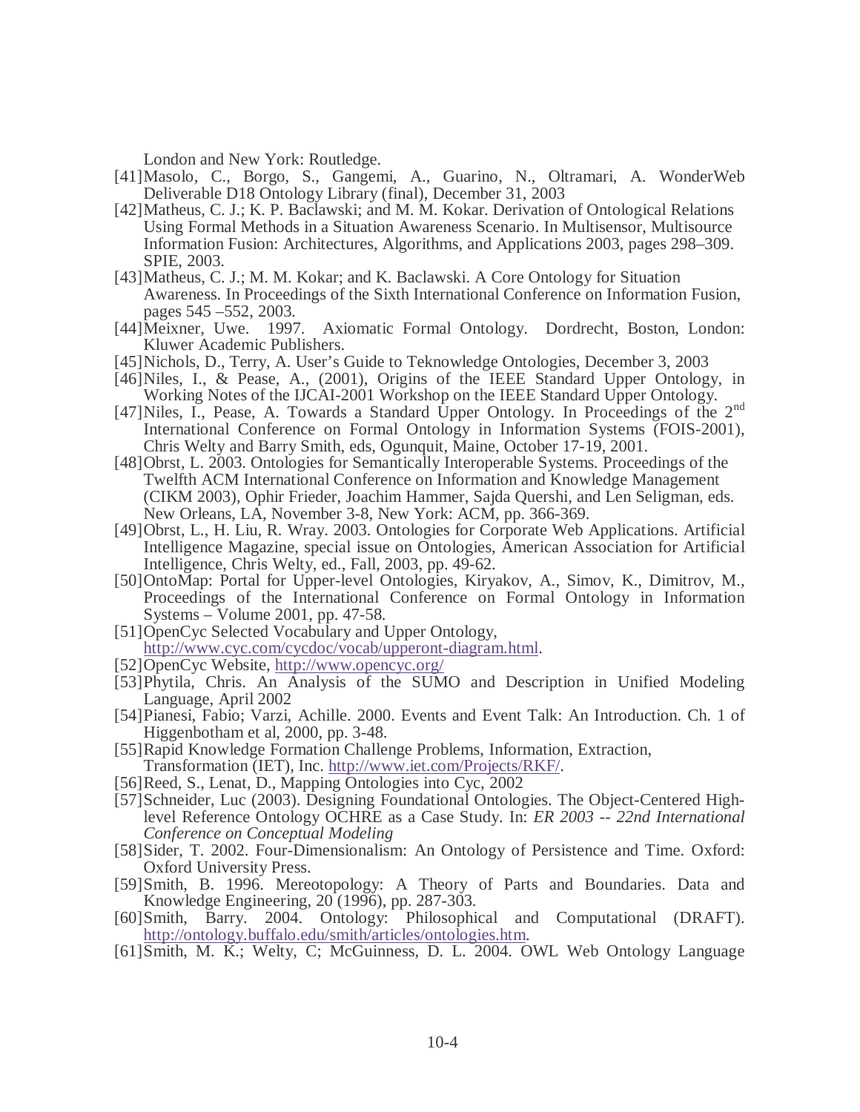London and New York: Routledge.

- [41]Masolo, C., Borgo, S., Gangemi, A., Guarino, N., Oltramari, A. WonderWeb Deliverable D18 Ontology Library (final), December 31, 2003
- [42]Matheus, C. J.; K. P. Baclawski; and M. M. Kokar. Derivation of Ontological Relations Using Formal Methods in a Situation Awareness Scenario. In Multisensor, Multisource Information Fusion: Architectures, Algorithms, and Applications 2003, pages 298–309. SPIE, 2003.
- [43]Matheus, C. J.; M. M. Kokar; and K. Baclawski. A Core Ontology for Situation Awareness. In Proceedings of the Sixth International Conference on Information Fusion, pages 545 –552, 2003.
- [44]Meixner, Uwe. 1997. Axiomatic Formal Ontology. Dordrecht, Boston, London: Kluwer Academic Publishers.
- [45]Nichols, D., Terry, A. User's Guide to Teknowledge Ontologies, December 3, 2003
- [46]Niles, I., & Pease, A., (2001), Origins of the IEEE Standard Upper Ontology, in Working Notes of the IJCAI-2001 Workshop on the IEEE Standard Upper Ontology.
- [47]Niles, I., Pease, A. Towards a Standard Upper Ontology. In Proceedings of the 2nd International Conference on Formal Ontology in Information Systems (FOIS-2001), Chris Welty and Barry Smith, eds, Ogunquit, Maine, October 17-19, 2001.
- [48]Obrst, L. 2003. Ontologies for Semantically Interoperable Systems*.* Proceedings of the Twelfth ACM International Conference on Information and Knowledge Management (CIKM 2003), Ophir Frieder, Joachim Hammer, Sajda Quershi, and Len Seligman, eds. New Orleans, LA, November 3-8, New York: ACM, pp. 366-369.
- [49]Obrst, L., H. Liu, R. Wray. 2003. Ontologies for Corporate Web Applications. Artificial Intelligence Magazine, special issue on Ontologies, American Association for Artificial Intelligence, Chris Welty, ed., Fall, 2003, pp. 49-62.
- [50]OntoMap: Portal for Upper-level Ontologies, Kiryakov, A., Simov, K., Dimitrov, M., Proceedings of the International Conference on Formal Ontology in Information Systems – Volume 2001, pp. 47-58.
- [51]OpenCyc Selected Vocabulary and Upper Ontology, http://www.cyc.com/cycdoc/vocab/upperont-diagram.html.
- [52]OpenCyc Website, http://www.opencyc.org/
- [53]Phytila, Chris. An Analysis of the SUMO and Description in Unified Modeling Language, April 2002
- [54]Pianesi, Fabio; Varzi, Achille. 2000. Events and Event Talk: An Introduction. Ch. 1 of Higgenbotham et al, 2000, pp. 3-48.
- [55]Rapid Knowledge Formation Challenge Problems, Information, Extraction, Transformation (IET), Inc. http://www.iet.com/Projects/RKF/.
- [56]Reed, S., Lenat, D., Mapping Ontologies into Cyc, 2002
- [57]Schneider, Luc (2003). Designing Foundational Ontologies. The Object-Centered Highlevel Reference Ontology OCHRE as a Case Study. In: *ER 2003 -- 22nd International Conference on Conceptual Modeling*
- [58]Sider, T. 2002. Four-Dimensionalism: An Ontology of Persistence and Time. Oxford: Oxford University Press.
- [59]Smith, B. 1996. Mereotopology: A Theory of Parts and Boundaries. Data and Knowledge Engineering, 20 (1996), pp. 287-303.
- [60]Smith, Barry. 2004. Ontology: Philosophical and Computational (DRAFT). http://ontology.buffalo.edu/smith/articles/ontologies.htm.
- [61]Smith, M. K.; Welty, C; McGuinness, D. L. 2004. OWL Web Ontology Language